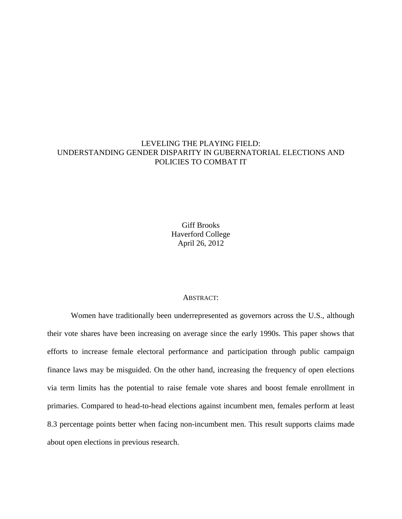# LEVELING THE PLAYING FIELD: UNDERSTANDING GENDER DISPARITY IN GUBERNATORIAL ELECTIONS AND POLICIES TO COMBAT IT

Giff Brooks Haverford College April 26, 2012

#### ABSTRACT:

Women have traditionally been underrepresented as governors across the U.S., although their vote shares have been increasing on average since the early 1990s. This paper shows that efforts to increase female electoral performance and participation through public campaign finance laws may be misguided. On the other hand, increasing the frequency of open elections via term limits has the potential to raise female vote shares and boost female enrollment in primaries. Compared to head-to-head elections against incumbent men, females perform at least 8.3 percentage points better when facing non-incumbent men. This result supports claims made about open elections in previous research.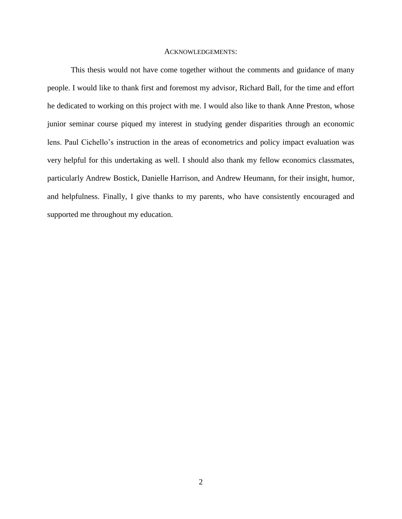#### ACKNOWLEDGEMENTS:

This thesis would not have come together without the comments and guidance of many people. I would like to thank first and foremost my advisor, Richard Ball, for the time and effort he dedicated to working on this project with me. I would also like to thank Anne Preston, whose junior seminar course piqued my interest in studying gender disparities through an economic lens. Paul Cichello's instruction in the areas of econometrics and policy impact evaluation was very helpful for this undertaking as well. I should also thank my fellow economics classmates, particularly Andrew Bostick, Danielle Harrison, and Andrew Heumann, for their insight, humor, and helpfulness. Finally, I give thanks to my parents, who have consistently encouraged and supported me throughout my education.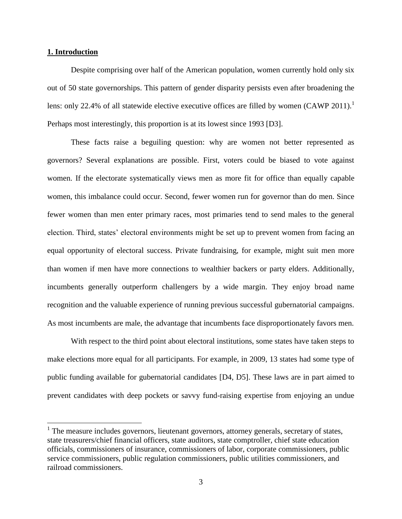## **1. Introduction**

 $\overline{a}$ 

Despite comprising over half of the American population, women currently hold only six out of 50 state governorships. This pattern of gender disparity persists even after broadening the lens: only 22.4% of all statewide elective executive offices are filled by women  $(CAWP 2011)<sup>1</sup>$ Perhaps most interestingly, this proportion is at its lowest since 1993 [D3].

These facts raise a beguiling question: why are women not better represented as governors? Several explanations are possible. First, voters could be biased to vote against women. If the electorate systematically views men as more fit for office than equally capable women, this imbalance could occur. Second, fewer women run for governor than do men. Since fewer women than men enter primary races, most primaries tend to send males to the general election. Third, states' electoral environments might be set up to prevent women from facing an equal opportunity of electoral success. Private fundraising, for example, might suit men more than women if men have more connections to wealthier backers or party elders. Additionally, incumbents generally outperform challengers by a wide margin. They enjoy broad name recognition and the valuable experience of running previous successful gubernatorial campaigns. As most incumbents are male, the advantage that incumbents face disproportionately favors men.

With respect to the third point about electoral institutions, some states have taken steps to make elections more equal for all participants. For example, in 2009, 13 states had some type of public funding available for gubernatorial candidates [D4, D5]. These laws are in part aimed to prevent candidates with deep pockets or savvy fund-raising expertise from enjoying an undue

<sup>&</sup>lt;sup>1</sup> The measure includes governors, lieutenant governors, attorney generals, secretary of states, state treasurers/chief financial officers, state auditors, state comptroller, chief state education officials, commissioners of insurance, commissioners of labor, corporate commissioners, public service commissioners, public regulation commissioners, public utilities commissioners, and railroad commissioners.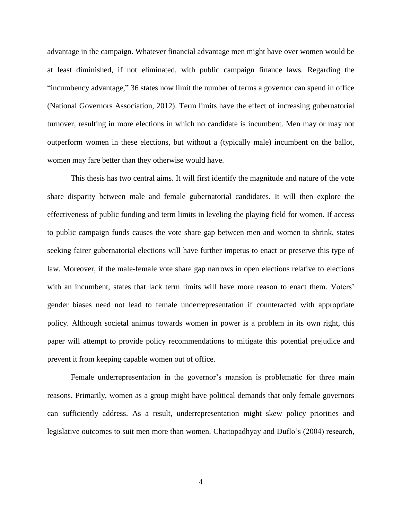advantage in the campaign. Whatever financial advantage men might have over women would be at least diminished, if not eliminated, with public campaign finance laws. Regarding the "incumbency advantage," 36 states now limit the number of terms a governor can spend in office (National Governors Association, 2012). Term limits have the effect of increasing gubernatorial turnover, resulting in more elections in which no candidate is incumbent. Men may or may not outperform women in these elections, but without a (typically male) incumbent on the ballot, women may fare better than they otherwise would have.

This thesis has two central aims. It will first identify the magnitude and nature of the vote share disparity between male and female gubernatorial candidates. It will then explore the effectiveness of public funding and term limits in leveling the playing field for women. If access to public campaign funds causes the vote share gap between men and women to shrink, states seeking fairer gubernatorial elections will have further impetus to enact or preserve this type of law. Moreover, if the male-female vote share gap narrows in open elections relative to elections with an incumbent, states that lack term limits will have more reason to enact them. Voters' gender biases need not lead to female underrepresentation if counteracted with appropriate policy. Although societal animus towards women in power is a problem in its own right, this paper will attempt to provide policy recommendations to mitigate this potential prejudice and prevent it from keeping capable women out of office.

Female underrepresentation in the governor's mansion is problematic for three main reasons. Primarily, women as a group might have political demands that only female governors can sufficiently address. As a result, underrepresentation might skew policy priorities and legislative outcomes to suit men more than women. Chattopadhyay and Duflo's (2004) research,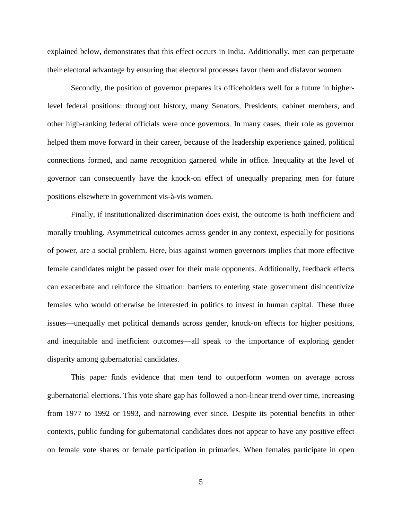explained below, demonstrates that this effect occurs in India. Additionally, men can perpetuate their electoral advantage by ensuring that electoral processes favor them and disfavor women.

Secondly, the position of governor prepares its officeholders well for a future in higherlevel federal positions: throughout history, many Senators, Presidents, cabinet members, and other high-ranking federal officials were once governors. In many cases, their role as governor helped them move forward in their career, because of the leadership experience gained, political connections formed, and name recognition garnered while in office. Inequality at the level of governor can consequently have the knock-on effect of unequally preparing men for future positions elsewhere in government vis-à-vis women.

Finally, if institutionalized discrimination does exist, the outcome is both inefficient and morally troubling. Asymmetrical outcomes across gender in any context, especially for positions of power, are a social problem. Here, bias against women governors implies that more effective female candidates might be passed over for their male opponents. Additionally, feedback effects can exacerbate and reinforce the situation: barriers to entering state government disincentivize females who would otherwise be interested in politics to invest in human capital. These three issues—unequally met political demands across gender, knock-on effects for higher positions, and inequitable and inefficient outcomes—all speak to the importance of exploring gender disparity among gubernatorial candidates.

This paper finds evidence that men tend to outperform women on average across gubernatorial elections. This vote share gap has followed a non-linear trend over time, increasing from 1977 to 1992 or 1993, and narrowing ever since. Despite its potential benefits in other contexts, public funding for gubernatorial candidates does not appear to have any positive effect on female vote shares or female participation in primaries. When females participate in open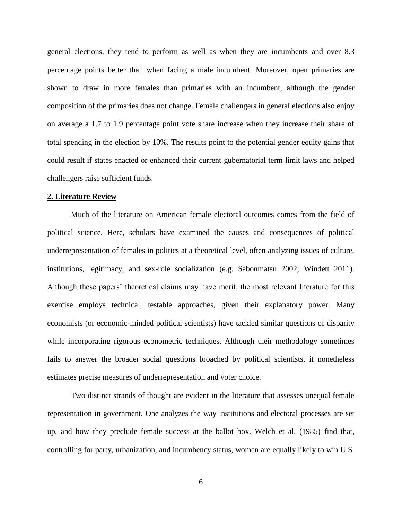general elections, they tend to perform as well as when they are incumbents and over 8.3 percentage points better than when facing a male incumbent. Moreover, open primaries are shown to draw in more females than primaries with an incumbent, although the gender composition of the primaries does not change. Female challengers in general elections also enjoy on average a 1.7 to 1.9 percentage point vote share increase when they increase their share of total spending in the election by 10%. The results point to the potential gender equity gains that could result if states enacted or enhanced their current gubernatorial term limit laws and helped challengers raise sufficient funds.

## **2. Literature Review**

Much of the literature on American female electoral outcomes comes from the field of political science. Here, scholars have examined the causes and consequences of political underrepresentation of females in politics at a theoretical level, often analyzing issues of culture, institutions, legitimacy, and sex-role socialization (e.g. Sabonmatsu 2002; Windett 2011). Although these papers' theoretical claims may have merit, the most relevant literature for this exercise employs technical, testable approaches, given their explanatory power. Many economists (or economic-minded political scientists) have tackled similar questions of disparity while incorporating rigorous econometric techniques. Although their methodology sometimes fails to answer the broader social questions broached by political scientists, it nonetheless estimates precise measures of underrepresentation and voter choice.

Two distinct strands of thought are evident in the literature that assesses unequal female representation in government. One analyzes the way institutions and electoral processes are set up, and how they preclude female success at the ballot box. Welch et al. (1985) find that, controlling for party, urbanization, and incumbency status, women are equally likely to win U.S.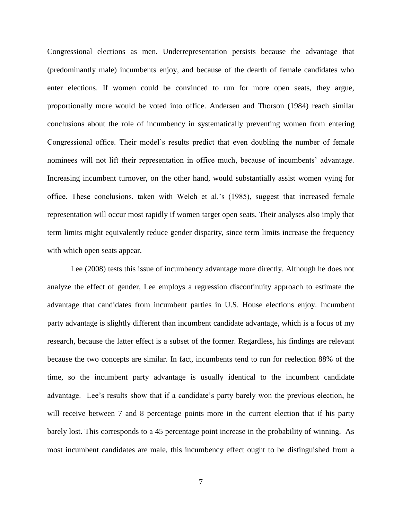Congressional elections as men. Underrepresentation persists because the advantage that (predominantly male) incumbents enjoy, and because of the dearth of female candidates who enter elections. If women could be convinced to run for more open seats, they argue, proportionally more would be voted into office. Andersen and Thorson (1984) reach similar conclusions about the role of incumbency in systematically preventing women from entering Congressional office. Their model's results predict that even doubling the number of female nominees will not lift their representation in office much, because of incumbents' advantage. Increasing incumbent turnover, on the other hand, would substantially assist women vying for office. These conclusions, taken with Welch et al.'s (1985), suggest that increased female representation will occur most rapidly if women target open seats. Their analyses also imply that term limits might equivalently reduce gender disparity, since term limits increase the frequency with which open seats appear.

Lee (2008) tests this issue of incumbency advantage more directly. Although he does not analyze the effect of gender, Lee employs a regression discontinuity approach to estimate the advantage that candidates from incumbent parties in U.S. House elections enjoy. Incumbent party advantage is slightly different than incumbent candidate advantage, which is a focus of my research, because the latter effect is a subset of the former. Regardless, his findings are relevant because the two concepts are similar. In fact, incumbents tend to run for reelection 88% of the time, so the incumbent party advantage is usually identical to the incumbent candidate advantage. Lee's results show that if a candidate's party barely won the previous election, he will receive between 7 and 8 percentage points more in the current election that if his party barely lost. This corresponds to a 45 percentage point increase in the probability of winning. As most incumbent candidates are male, this incumbency effect ought to be distinguished from a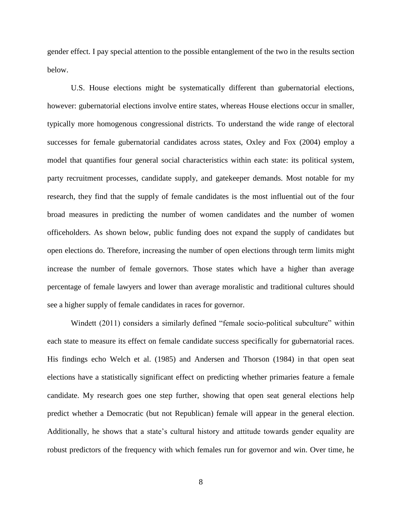gender effect. I pay special attention to the possible entanglement of the two in the results section below.

U.S. House elections might be systematically different than gubernatorial elections, however: gubernatorial elections involve entire states, whereas House elections occur in smaller, typically more homogenous congressional districts. To understand the wide range of electoral successes for female gubernatorial candidates across states, Oxley and Fox (2004) employ a model that quantifies four general social characteristics within each state: its political system, party recruitment processes, candidate supply, and gatekeeper demands. Most notable for my research, they find that the supply of female candidates is the most influential out of the four broad measures in predicting the number of women candidates and the number of women officeholders. As shown below, public funding does not expand the supply of candidates but open elections do. Therefore, increasing the number of open elections through term limits might increase the number of female governors. Those states which have a higher than average percentage of female lawyers and lower than average moralistic and traditional cultures should see a higher supply of female candidates in races for governor.

Windett (2011) considers a similarly defined "female socio-political subculture" within each state to measure its effect on female candidate success specifically for gubernatorial races. His findings echo Welch et al. (1985) and Andersen and Thorson (1984) in that open seat elections have a statistically significant effect on predicting whether primaries feature a female candidate. My research goes one step further, showing that open seat general elections help predict whether a Democratic (but not Republican) female will appear in the general election. Additionally, he shows that a state's cultural history and attitude towards gender equality are robust predictors of the frequency with which females run for governor and win. Over time, he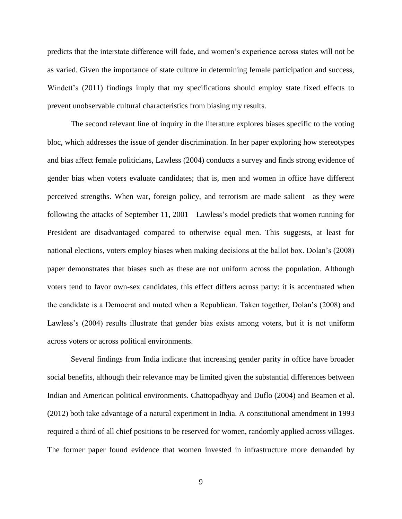predicts that the interstate difference will fade, and women's experience across states will not be as varied. Given the importance of state culture in determining female participation and success, Windett's (2011) findings imply that my specifications should employ state fixed effects to prevent unobservable cultural characteristics from biasing my results.

The second relevant line of inquiry in the literature explores biases specific to the voting bloc, which addresses the issue of gender discrimination. In her paper exploring how stereotypes and bias affect female politicians, Lawless (2004) conducts a survey and finds strong evidence of gender bias when voters evaluate candidates; that is, men and women in office have different perceived strengths. When war, foreign policy, and terrorism are made salient—as they were following the attacks of September 11, 2001—Lawless's model predicts that women running for President are disadvantaged compared to otherwise equal men. This suggests, at least for national elections, voters employ biases when making decisions at the ballot box. Dolan's (2008) paper demonstrates that biases such as these are not uniform across the population. Although voters tend to favor own-sex candidates, this effect differs across party: it is accentuated when the candidate is a Democrat and muted when a Republican. Taken together, Dolan's (2008) and Lawless's (2004) results illustrate that gender bias exists among voters, but it is not uniform across voters or across political environments.

Several findings from India indicate that increasing gender parity in office have broader social benefits, although their relevance may be limited given the substantial differences between Indian and American political environments. Chattopadhyay and Duflo (2004) and Beamen et al. (2012) both take advantage of a natural experiment in India. A constitutional amendment in 1993 required a third of all chief positions to be reserved for women, randomly applied across villages. The former paper found evidence that women invested in infrastructure more demanded by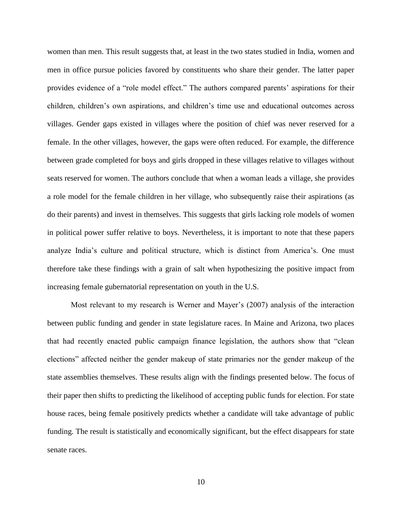women than men. This result suggests that, at least in the two states studied in India, women and men in office pursue policies favored by constituents who share their gender. The latter paper provides evidence of a "role model effect." The authors compared parents' aspirations for their children, children's own aspirations, and children's time use and educational outcomes across villages. Gender gaps existed in villages where the position of chief was never reserved for a female. In the other villages, however, the gaps were often reduced. For example, the difference between grade completed for boys and girls dropped in these villages relative to villages without seats reserved for women. The authors conclude that when a woman leads a village, she provides a role model for the female children in her village, who subsequently raise their aspirations (as do their parents) and invest in themselves. This suggests that girls lacking role models of women in political power suffer relative to boys. Nevertheless, it is important to note that these papers analyze India's culture and political structure, which is distinct from America's. One must therefore take these findings with a grain of salt when hypothesizing the positive impact from increasing female gubernatorial representation on youth in the U.S.

Most relevant to my research is Werner and Mayer's (2007) analysis of the interaction between public funding and gender in state legislature races. In Maine and Arizona, two places that had recently enacted public campaign finance legislation, the authors show that "clean elections" affected neither the gender makeup of state primaries nor the gender makeup of the state assemblies themselves. These results align with the findings presented below. The focus of their paper then shifts to predicting the likelihood of accepting public funds for election. For state house races, being female positively predicts whether a candidate will take advantage of public funding. The result is statistically and economically significant, but the effect disappears for state senate races.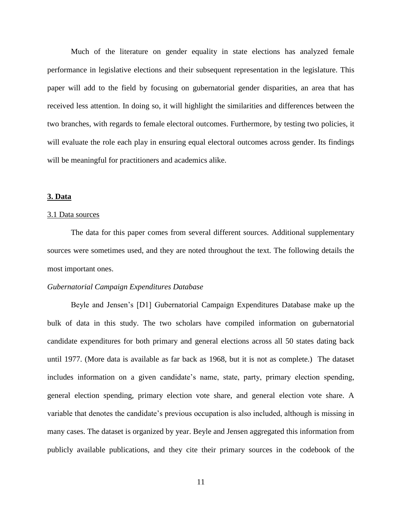Much of the literature on gender equality in state elections has analyzed female performance in legislative elections and their subsequent representation in the legislature. This paper will add to the field by focusing on gubernatorial gender disparities, an area that has received less attention. In doing so, it will highlight the similarities and differences between the two branches, with regards to female electoral outcomes. Furthermore, by testing two policies, it will evaluate the role each play in ensuring equal electoral outcomes across gender. Its findings will be meaningful for practitioners and academics alike.

## **3. Data**

#### 3.1 Data sources

The data for this paper comes from several different sources. Additional supplementary sources were sometimes used, and they are noted throughout the text. The following details the most important ones.

## *Gubernatorial Campaign Expenditures Database*

Beyle and Jensen's [D1] Gubernatorial Campaign Expenditures Database make up the bulk of data in this study. The two scholars have compiled information on gubernatorial candidate expenditures for both primary and general elections across all 50 states dating back until 1977. (More data is available as far back as 1968, but it is not as complete.) The dataset includes information on a given candidate's name, state, party, primary election spending, general election spending, primary election vote share, and general election vote share. A variable that denotes the candidate's previous occupation is also included, although is missing in many cases. The dataset is organized by year. Beyle and Jensen aggregated this information from publicly available publications, and they cite their primary sources in the codebook of the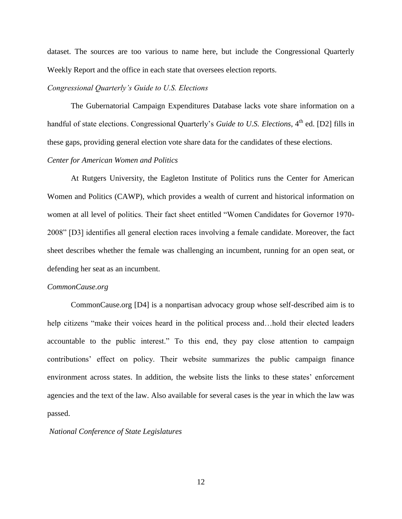dataset. The sources are too various to name here, but include the Congressional Quarterly Weekly Report and the office in each state that oversees election reports.

# *Congressional Quarterly's Guide to U.S. Elections*

The Gubernatorial Campaign Expenditures Database lacks vote share information on a handful of state elections. Congressional Quarterly's *Guide to U.S. Elections*, 4<sup>th</sup> ed. [D2] fills in these gaps, providing general election vote share data for the candidates of these elections.

# *Center for American Women and Politics*

At Rutgers University, the Eagleton Institute of Politics runs the Center for American Women and Politics (CAWP), which provides a wealth of current and historical information on women at all level of politics. Their fact sheet entitled "Women Candidates for Governor 1970- 2008" [D3] identifies all general election races involving a female candidate. Moreover, the fact sheet describes whether the female was challenging an incumbent, running for an open seat, or defending her seat as an incumbent.

#### *CommonCause.org*

CommonCause.org [D4] is a nonpartisan advocacy group whose self-described aim is to help citizens "make their voices heard in the political process and...hold their elected leaders accountable to the public interest." To this end, they pay close attention to campaign contributions' effect on policy. Their website summarizes the public campaign finance environment across states. In addition, the website lists the links to these states' enforcement agencies and the text of the law. Also available for several cases is the year in which the law was passed.

#### *National Conference of State Legislatures*

12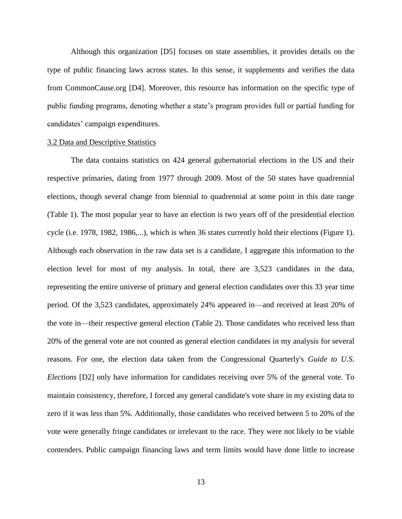Although this organization [D5] focuses on state assemblies, it provides details on the type of public financing laws across states. In this sense, it supplements and verifies the data from CommonCause.org [D4]. Moreover, this resource has information on the specific type of public funding programs, denoting whether a state's program provides full or partial funding for candidates' campaign expenditures.

#### 3.2 Data and Descriptive Statistics

The data contains statistics on 424 general gubernatorial elections in the US and their respective primaries, dating from 1977 through 2009. Most of the 50 states have quadrennial elections, though several change from biennial to quadrennial at some point in this date range (Table 1). The most popular year to have an election is two years off of the presidential election cycle (i.e. 1978, 1982, 1986,...), which is when 36 states currently hold their elections (Figure 1). Although each observation in the raw data set is a candidate, I aggregate this information to the election level for most of my analysis. In total, there are 3,523 candidates in the data, representing the entire universe of primary and general election candidates over this 33 year time period. Of the 3,523 candidates, approximately 24% appeared in—and received at least 20% of the vote in—their respective general election (Table 2). Those candidates who received less than 20% of the general vote are not counted as general election candidates in my analysis for several reasons. For one, the election data taken from the Congressional Quarterly's *Guide to U.S. Elections* [D2] only have information for candidates receiving over 5% of the general vote. To maintain consistency, therefore, I forced any general candidate's vote share in my existing data to zero if it was less than 5%. Additionally, those candidates who received between 5 to 20% of the vote were generally fringe candidates or irrelevant to the race. They were not likely to be viable contenders. Public campaign financing laws and term limits would have done little to increase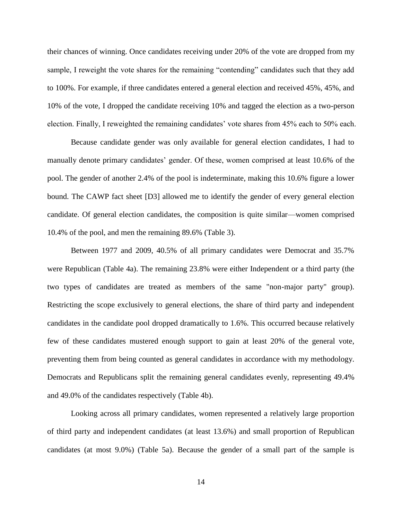their chances of winning. Once candidates receiving under 20% of the vote are dropped from my sample, I reweight the vote shares for the remaining "contending" candidates such that they add to 100%. For example, if three candidates entered a general election and received 45%, 45%, and 10% of the vote, I dropped the candidate receiving 10% and tagged the election as a two-person election. Finally, I reweighted the remaining candidates' vote shares from 45% each to 50% each.

Because candidate gender was only available for general election candidates, I had to manually denote primary candidates' gender. Of these, women comprised at least 10.6% of the pool. The gender of another 2.4% of the pool is indeterminate, making this 10.6% figure a lower bound. The CAWP fact sheet [D3] allowed me to identify the gender of every general election candidate. Of general election candidates, the composition is quite similar—women comprised 10.4% of the pool, and men the remaining 89.6% (Table 3).

Between 1977 and 2009, 40.5% of all primary candidates were Democrat and 35.7% were Republican (Table 4a). The remaining 23.8% were either Independent or a third party (the two types of candidates are treated as members of the same "non-major party" group). Restricting the scope exclusively to general elections, the share of third party and independent candidates in the candidate pool dropped dramatically to 1.6%. This occurred because relatively few of these candidates mustered enough support to gain at least 20% of the general vote, preventing them from being counted as general candidates in accordance with my methodology. Democrats and Republicans split the remaining general candidates evenly, representing 49.4% and 49.0% of the candidates respectively (Table 4b).

Looking across all primary candidates, women represented a relatively large proportion of third party and independent candidates (at least 13.6%) and small proportion of Republican candidates (at most 9.0%) (Table 5a). Because the gender of a small part of the sample is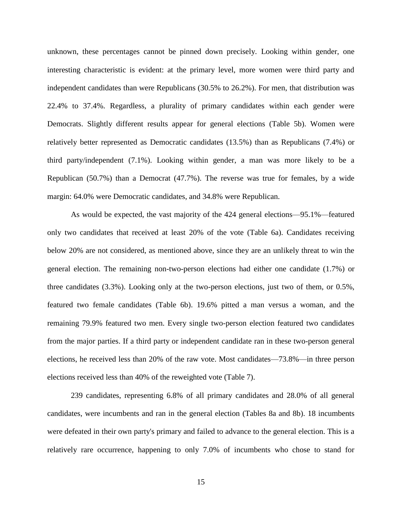unknown, these percentages cannot be pinned down precisely. Looking within gender, one interesting characteristic is evident: at the primary level, more women were third party and independent candidates than were Republicans (30.5% to 26.2%). For men, that distribution was 22.4% to 37.4%. Regardless, a plurality of primary candidates within each gender were Democrats. Slightly different results appear for general elections (Table 5b). Women were relatively better represented as Democratic candidates (13.5%) than as Republicans (7.4%) or third party/independent (7.1%). Looking within gender, a man was more likely to be a Republican (50.7%) than a Democrat (47.7%). The reverse was true for females, by a wide margin: 64.0% were Democratic candidates, and 34.8% were Republican.

As would be expected, the vast majority of the 424 general elections—95.1%—featured only two candidates that received at least 20% of the vote (Table 6a). Candidates receiving below 20% are not considered, as mentioned above, since they are an unlikely threat to win the general election. The remaining non-two-person elections had either one candidate (1.7%) or three candidates (3.3%). Looking only at the two-person elections, just two of them, or 0.5%, featured two female candidates (Table 6b). 19.6% pitted a man versus a woman, and the remaining 79.9% featured two men. Every single two-person election featured two candidates from the major parties. If a third party or independent candidate ran in these two-person general elections, he received less than 20% of the raw vote. Most candidates—73.8%—in three person elections received less than 40% of the reweighted vote (Table 7).

239 candidates, representing 6.8% of all primary candidates and 28.0% of all general candidates, were incumbents and ran in the general election (Tables 8a and 8b). 18 incumbents were defeated in their own party's primary and failed to advance to the general election. This is a relatively rare occurrence, happening to only 7.0% of incumbents who chose to stand for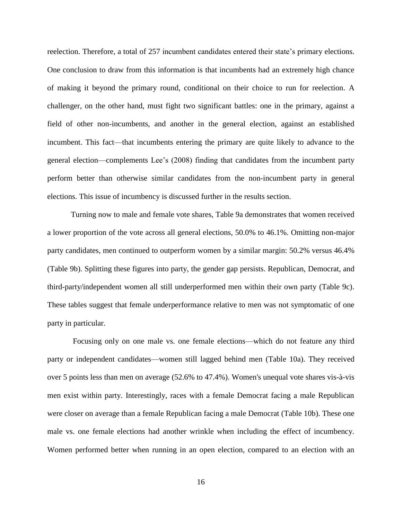reelection. Therefore, a total of 257 incumbent candidates entered their state's primary elections. One conclusion to draw from this information is that incumbents had an extremely high chance of making it beyond the primary round, conditional on their choice to run for reelection. A challenger, on the other hand, must fight two significant battles: one in the primary, against a field of other non-incumbents, and another in the general election, against an established incumbent. This fact—that incumbents entering the primary are quite likely to advance to the general election—complements Lee's (2008) finding that candidates from the incumbent party perform better than otherwise similar candidates from the non-incumbent party in general elections. This issue of incumbency is discussed further in the results section.

Turning now to male and female vote shares, Table 9a demonstrates that women received a lower proportion of the vote across all general elections, 50.0% to 46.1%. Omitting non-major party candidates, men continued to outperform women by a similar margin: 50.2% versus 46.4% (Table 9b). Splitting these figures into party, the gender gap persists. Republican, Democrat, and third-party/independent women all still underperformed men within their own party (Table 9c). These tables suggest that female underperformance relative to men was not symptomatic of one party in particular.

Focusing only on one male vs. one female elections—which do not feature any third party or independent candidates—women still lagged behind men (Table 10a). They received over 5 points less than men on average (52.6% to 47.4%). Women's unequal vote shares vis-à-vis men exist within party. Interestingly, races with a female Democrat facing a male Republican were closer on average than a female Republican facing a male Democrat (Table 10b). These one male vs. one female elections had another wrinkle when including the effect of incumbency. Women performed better when running in an open election, compared to an election with an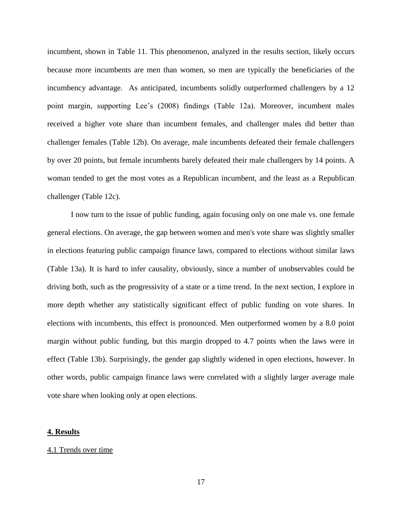incumbent, shown in Table 11. This phenomenon, analyzed in the results section, likely occurs because more incumbents are men than women, so men are typically the beneficiaries of the incumbency advantage. As anticipated, incumbents solidly outperformed challengers by a 12 point margin, supporting Lee's (2008) findings (Table 12a). Moreover, incumbent males received a higher vote share than incumbent females, and challenger males did better than challenger females (Table 12b). On average, male incumbents defeated their female challengers by over 20 points, but female incumbents barely defeated their male challengers by 14 points. A woman tended to get the most votes as a Republican incumbent, and the least as a Republican challenger (Table 12c).

I now turn to the issue of public funding, again focusing only on one male vs. one female general elections. On average, the gap between women and men's vote share was slightly smaller in elections featuring public campaign finance laws, compared to elections without similar laws (Table 13a). It is hard to infer causality, obviously, since a number of unobservables could be driving both, such as the progressivity of a state or a time trend. In the next section, I explore in more depth whether any statistically significant effect of public funding on vote shares. In elections with incumbents, this effect is pronounced. Men outperformed women by a 8.0 point margin without public funding, but this margin dropped to 4.7 points when the laws were in effect (Table 13b). Surprisingly, the gender gap slightly widened in open elections, however. In other words, public campaign finance laws were correlated with a slightly larger average male vote share when looking only at open elections.

## **4. Results**

#### 4.1 Trends over time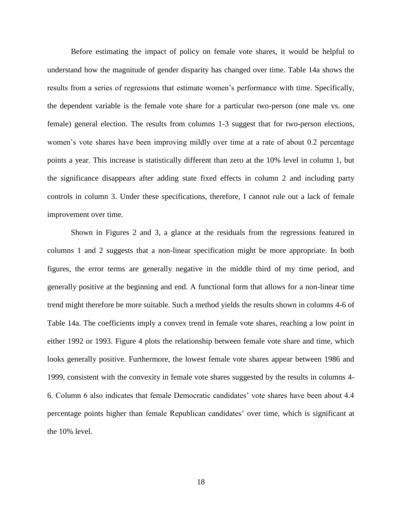Before estimating the impact of policy on female vote shares, it would be helpful to understand how the magnitude of gender disparity has changed over time. Table 14a shows the results from a series of regressions that estimate women's performance with time. Specifically, the dependent variable is the female vote share for a particular two-person (one male vs. one female) general election. The results from columns 1-3 suggest that for two-person elections, women's vote shares have been improving mildly over time at a rate of about 0.2 percentage points a year. This increase is statistically different than zero at the 10% level in column 1, but the significance disappears after adding state fixed effects in column 2 and including party controls in column 3. Under these specifications, therefore, I cannot rule out a lack of female improvement over time.

Shown in Figures 2 and 3, a glance at the residuals from the regressions featured in columns 1 and 2 suggests that a non-linear specification might be more appropriate. In both figures, the error terms are generally negative in the middle third of my time period, and generally positive at the beginning and end. A functional form that allows for a non-linear time trend might therefore be more suitable. Such a method yields the results shown in columns 4-6 of Table 14a. The coefficients imply a convex trend in female vote shares, reaching a low point in either 1992 or 1993. Figure 4 plots the relationship between female vote share and time, which looks generally positive. Furthermore, the lowest female vote shares appear between 1986 and 1999, consistent with the convexity in female vote shares suggested by the results in columns 4- 6. Column 6 also indicates that female Democratic candidates' vote shares have been about 4.4 percentage points higher than female Republican candidates' over time, which is significant at the 10% level.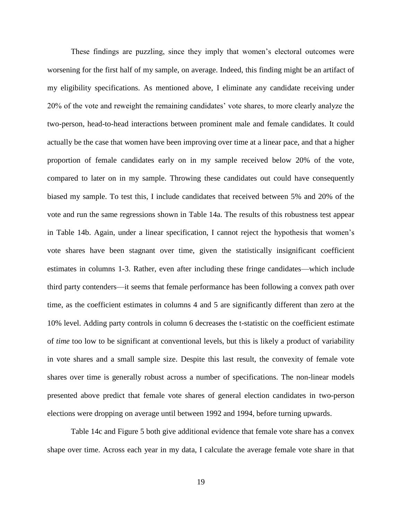These findings are puzzling, since they imply that women's electoral outcomes were worsening for the first half of my sample, on average. Indeed, this finding might be an artifact of my eligibility specifications. As mentioned above, I eliminate any candidate receiving under 20% of the vote and reweight the remaining candidates' vote shares, to more clearly analyze the two-person, head-to-head interactions between prominent male and female candidates. It could actually be the case that women have been improving over time at a linear pace, and that a higher proportion of female candidates early on in my sample received below 20% of the vote, compared to later on in my sample. Throwing these candidates out could have consequently biased my sample. To test this, I include candidates that received between 5% and 20% of the vote and run the same regressions shown in Table 14a. The results of this robustness test appear in Table 14b. Again, under a linear specification, I cannot reject the hypothesis that women's vote shares have been stagnant over time, given the statistically insignificant coefficient estimates in columns 1-3. Rather, even after including these fringe candidates—which include third party contenders—it seems that female performance has been following a convex path over time, as the coefficient estimates in columns 4 and 5 are significantly different than zero at the 10% level. Adding party controls in column 6 decreases the t-statistic on the coefficient estimate of *time* too low to be significant at conventional levels, but this is likely a product of variability in vote shares and a small sample size. Despite this last result, the convexity of female vote shares over time is generally robust across a number of specifications. The non-linear models presented above predict that female vote shares of general election candidates in two-person elections were dropping on average until between 1992 and 1994, before turning upwards.

Table 14c and Figure 5 both give additional evidence that female vote share has a convex shape over time. Across each year in my data, I calculate the average female vote share in that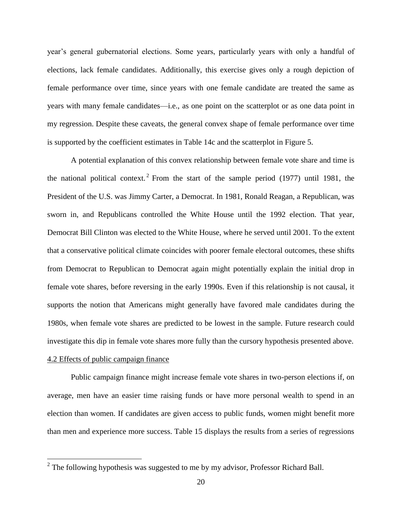year's general gubernatorial elections. Some years, particularly years with only a handful of elections, lack female candidates. Additionally, this exercise gives only a rough depiction of female performance over time, since years with one female candidate are treated the same as years with many female candidates—i.e., as one point on the scatterplot or as one data point in my regression. Despite these caveats, the general convex shape of female performance over time is supported by the coefficient estimates in Table 14c and the scatterplot in Figure 5.

A potential explanation of this convex relationship between female vote share and time is the national political context.<sup>2</sup> From the start of the sample period  $(1977)$  until 1981, the President of the U.S. was Jimmy Carter, a Democrat. In 1981, Ronald Reagan, a Republican, was sworn in, and Republicans controlled the White House until the 1992 election. That year, Democrat Bill Clinton was elected to the White House, where he served until 2001. To the extent that a conservative political climate coincides with poorer female electoral outcomes, these shifts from Democrat to Republican to Democrat again might potentially explain the initial drop in female vote shares, before reversing in the early 1990s. Even if this relationship is not causal, it supports the notion that Americans might generally have favored male candidates during the 1980s, when female vote shares are predicted to be lowest in the sample. Future research could investigate this dip in female vote shares more fully than the cursory hypothesis presented above.

## 4.2 Effects of public campaign finance

Public campaign finance might increase female vote shares in two-person elections if, on average, men have an easier time raising funds or have more personal wealth to spend in an election than women. If candidates are given access to public funds, women might benefit more than men and experience more success. Table 15 displays the results from a series of regressions

<sup>&</sup>lt;sup>2</sup> The following hypothesis was suggested to me by my advisor, Professor Richard Ball.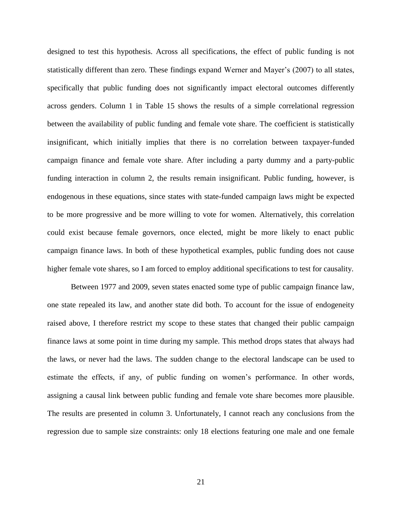designed to test this hypothesis. Across all specifications, the effect of public funding is not statistically different than zero. These findings expand Werner and Mayer's (2007) to all states, specifically that public funding does not significantly impact electoral outcomes differently across genders. Column 1 in Table 15 shows the results of a simple correlational regression between the availability of public funding and female vote share. The coefficient is statistically insignificant, which initially implies that there is no correlation between taxpayer-funded campaign finance and female vote share. After including a party dummy and a party-public funding interaction in column 2, the results remain insignificant. Public funding, however, is endogenous in these equations, since states with state-funded campaign laws might be expected to be more progressive and be more willing to vote for women. Alternatively, this correlation could exist because female governors, once elected, might be more likely to enact public campaign finance laws. In both of these hypothetical examples, public funding does not cause higher female vote shares, so I am forced to employ additional specifications to test for causality.

Between 1977 and 2009, seven states enacted some type of public campaign finance law, one state repealed its law, and another state did both. To account for the issue of endogeneity raised above, I therefore restrict my scope to these states that changed their public campaign finance laws at some point in time during my sample. This method drops states that always had the laws, or never had the laws. The sudden change to the electoral landscape can be used to estimate the effects, if any, of public funding on women's performance. In other words, assigning a causal link between public funding and female vote share becomes more plausible. The results are presented in column 3. Unfortunately, I cannot reach any conclusions from the regression due to sample size constraints: only 18 elections featuring one male and one female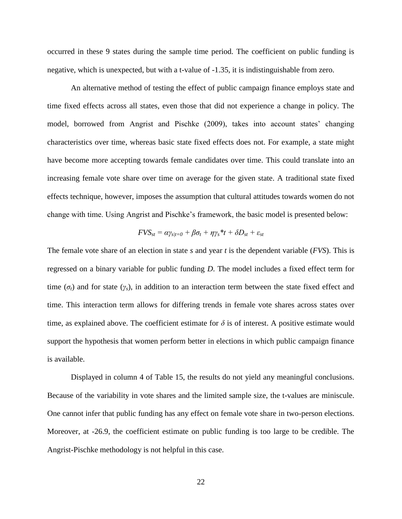occurred in these 9 states during the sample time period. The coefficient on public funding is negative, which is unexpected, but with a t-value of -1.35, it is indistinguishable from zero.

An alternative method of testing the effect of public campaign finance employs state and time fixed effects across all states, even those that did not experience a change in policy. The model, borrowed from Angrist and Pischke (2009), takes into account states' changing characteristics over time, whereas basic state fixed effects does not. For example, a state might have become more accepting towards female candidates over time. This could translate into an increasing female vote share over time on average for the given state. A traditional state fixed effects technique, however, imposes the assumption that cultural attitudes towards women do not change with time. Using Angrist and Pischke's framework, the basic model is presented below:

$$
F\mathsf{V}\mathsf{S}_{\mathit{st}} = \alpha \gamma_{\mathit{s/t} = 0} + \beta \sigma_{\mathit{t}} + \eta \gamma_{\mathit{s}} \mathbf{^*}\mathit{t} + \delta D_{\mathit{st}} + \varepsilon_{\mathit{st}}
$$

The female vote share of an election in state *s* and year *t* is the dependent variable (*FVS*). This is regressed on a binary variable for public funding *D*. The model includes a fixed effect term for time ( $\sigma_t$ ) and for state ( $\gamma_s$ ), in addition to an interaction term between the state fixed effect and time. This interaction term allows for differing trends in female vote shares across states over time, as explained above. The coefficient estimate for  $\delta$  is of interest. A positive estimate would support the hypothesis that women perform better in elections in which public campaign finance is available.

Displayed in column 4 of Table 15, the results do not yield any meaningful conclusions. Because of the variability in vote shares and the limited sample size, the t-values are miniscule. One cannot infer that public funding has any effect on female vote share in two-person elections. Moreover, at -26.9, the coefficient estimate on public funding is too large to be credible. The Angrist-Pischke methodology is not helpful in this case.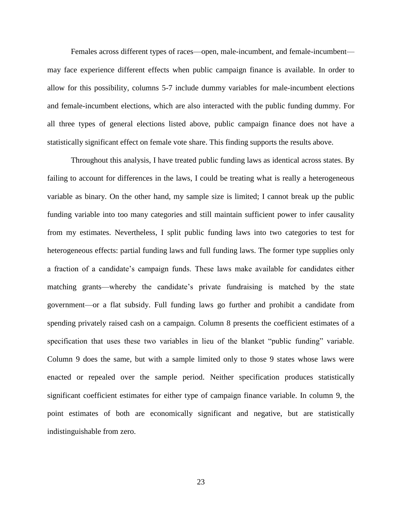Females across different types of races—open, male-incumbent, and female-incumbent may face experience different effects when public campaign finance is available. In order to allow for this possibility, columns 5-7 include dummy variables for male-incumbent elections and female-incumbent elections, which are also interacted with the public funding dummy. For all three types of general elections listed above, public campaign finance does not have a statistically significant effect on female vote share. This finding supports the results above.

Throughout this analysis, I have treated public funding laws as identical across states. By failing to account for differences in the laws, I could be treating what is really a heterogeneous variable as binary. On the other hand, my sample size is limited; I cannot break up the public funding variable into too many categories and still maintain sufficient power to infer causality from my estimates. Nevertheless, I split public funding laws into two categories to test for heterogeneous effects: partial funding laws and full funding laws. The former type supplies only a fraction of a candidate's campaign funds. These laws make available for candidates either matching grants—whereby the candidate's private fundraising is matched by the state government—or a flat subsidy. Full funding laws go further and prohibit a candidate from spending privately raised cash on a campaign. Column 8 presents the coefficient estimates of a specification that uses these two variables in lieu of the blanket "public funding" variable. Column 9 does the same, but with a sample limited only to those 9 states whose laws were enacted or repealed over the sample period. Neither specification produces statistically significant coefficient estimates for either type of campaign finance variable. In column 9, the point estimates of both are economically significant and negative, but are statistically indistinguishable from zero.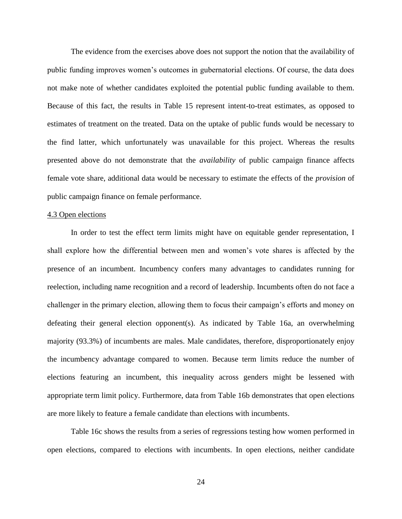The evidence from the exercises above does not support the notion that the availability of public funding improves women's outcomes in gubernatorial elections. Of course, the data does not make note of whether candidates exploited the potential public funding available to them. Because of this fact, the results in Table 15 represent intent-to-treat estimates, as opposed to estimates of treatment on the treated. Data on the uptake of public funds would be necessary to the find latter, which unfortunately was unavailable for this project. Whereas the results presented above do not demonstrate that the *availability* of public campaign finance affects female vote share, additional data would be necessary to estimate the effects of the *provision* of public campaign finance on female performance.

#### 4.3 Open elections

In order to test the effect term limits might have on equitable gender representation, I shall explore how the differential between men and women's vote shares is affected by the presence of an incumbent. Incumbency confers many advantages to candidates running for reelection, including name recognition and a record of leadership. Incumbents often do not face a challenger in the primary election, allowing them to focus their campaign's efforts and money on defeating their general election opponent(s). As indicated by Table 16a, an overwhelming majority (93.3%) of incumbents are males. Male candidates, therefore, disproportionately enjoy the incumbency advantage compared to women. Because term limits reduce the number of elections featuring an incumbent, this inequality across genders might be lessened with appropriate term limit policy. Furthermore, data from Table 16b demonstrates that open elections are more likely to feature a female candidate than elections with incumbents.

Table 16c shows the results from a series of regressions testing how women performed in open elections, compared to elections with incumbents. In open elections, neither candidate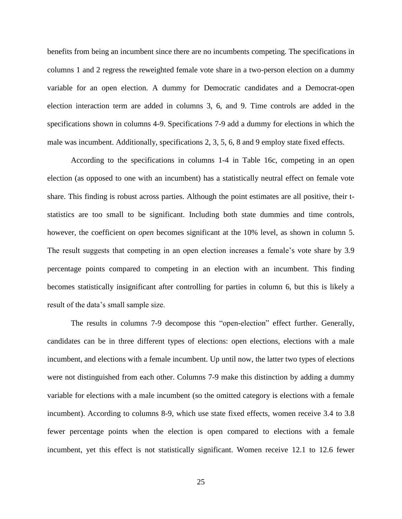benefits from being an incumbent since there are no incumbents competing. The specifications in columns 1 and 2 regress the reweighted female vote share in a two-person election on a dummy variable for an open election. A dummy for Democratic candidates and a Democrat-open election interaction term are added in columns 3, 6, and 9. Time controls are added in the specifications shown in columns 4-9. Specifications 7-9 add a dummy for elections in which the male was incumbent. Additionally, specifications 2, 3, 5, 6, 8 and 9 employ state fixed effects.

According to the specifications in columns 1-4 in Table 16c, competing in an open election (as opposed to one with an incumbent) has a statistically neutral effect on female vote share. This finding is robust across parties. Although the point estimates are all positive, their tstatistics are too small to be significant. Including both state dummies and time controls, however, the coefficient on *open* becomes significant at the 10% level, as shown in column 5. The result suggests that competing in an open election increases a female's vote share by 3.9 percentage points compared to competing in an election with an incumbent. This finding becomes statistically insignificant after controlling for parties in column 6, but this is likely a result of the data's small sample size.

The results in columns 7-9 decompose this "open-election" effect further. Generally, candidates can be in three different types of elections: open elections, elections with a male incumbent, and elections with a female incumbent. Up until now, the latter two types of elections were not distinguished from each other. Columns 7-9 make this distinction by adding a dummy variable for elections with a male incumbent (so the omitted category is elections with a female incumbent). According to columns 8-9, which use state fixed effects, women receive 3.4 to 3.8 fewer percentage points when the election is open compared to elections with a female incumbent, yet this effect is not statistically significant. Women receive 12.1 to 12.6 fewer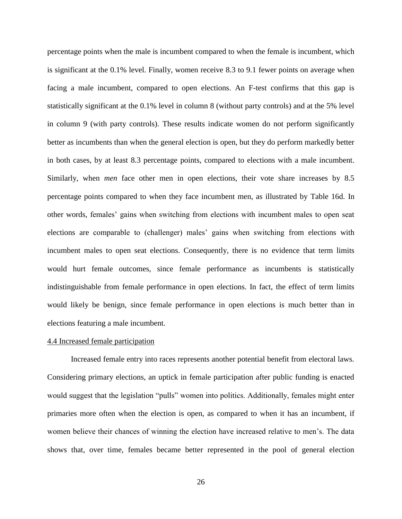percentage points when the male is incumbent compared to when the female is incumbent, which is significant at the 0.1% level. Finally, women receive 8.3 to 9.1 fewer points on average when facing a male incumbent, compared to open elections. An F-test confirms that this gap is statistically significant at the 0.1% level in column 8 (without party controls) and at the 5% level in column 9 (with party controls). These results indicate women do not perform significantly better as incumbents than when the general election is open, but they do perform markedly better in both cases, by at least 8.3 percentage points, compared to elections with a male incumbent. Similarly, when *men* face other men in open elections, their vote share increases by 8.5 percentage points compared to when they face incumbent men, as illustrated by Table 16d. In other words, females' gains when switching from elections with incumbent males to open seat elections are comparable to (challenger) males' gains when switching from elections with incumbent males to open seat elections. Consequently, there is no evidence that term limits would hurt female outcomes, since female performance as incumbents is statistically indistinguishable from female performance in open elections. In fact, the effect of term limits would likely be benign, since female performance in open elections is much better than in elections featuring a male incumbent.

#### 4.4 Increased female participation

Increased female entry into races represents another potential benefit from electoral laws. Considering primary elections, an uptick in female participation after public funding is enacted would suggest that the legislation "pulls" women into politics. Additionally, females might enter primaries more often when the election is open, as compared to when it has an incumbent, if women believe their chances of winning the election have increased relative to men's. The data shows that, over time, females became better represented in the pool of general election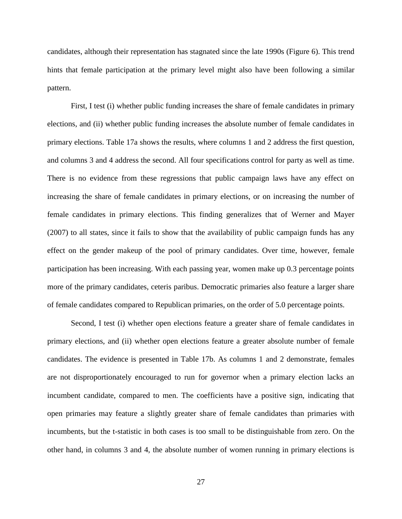candidates, although their representation has stagnated since the late 1990s (Figure 6). This trend hints that female participation at the primary level might also have been following a similar pattern.

First, I test (i) whether public funding increases the share of female candidates in primary elections, and (ii) whether public funding increases the absolute number of female candidates in primary elections. Table 17a shows the results, where columns 1 and 2 address the first question, and columns 3 and 4 address the second. All four specifications control for party as well as time. There is no evidence from these regressions that public campaign laws have any effect on increasing the share of female candidates in primary elections, or on increasing the number of female candidates in primary elections. This finding generalizes that of Werner and Mayer (2007) to all states, since it fails to show that the availability of public campaign funds has any effect on the gender makeup of the pool of primary candidates. Over time, however, female participation has been increasing. With each passing year, women make up 0.3 percentage points more of the primary candidates, ceteris paribus. Democratic primaries also feature a larger share of female candidates compared to Republican primaries, on the order of 5.0 percentage points.

Second, I test (i) whether open elections feature a greater share of female candidates in primary elections, and (ii) whether open elections feature a greater absolute number of female candidates. The evidence is presented in Table 17b. As columns 1 and 2 demonstrate, females are not disproportionately encouraged to run for governor when a primary election lacks an incumbent candidate, compared to men. The coefficients have a positive sign, indicating that open primaries may feature a slightly greater share of female candidates than primaries with incumbents, but the t-statistic in both cases is too small to be distinguishable from zero. On the other hand, in columns 3 and 4, the absolute number of women running in primary elections is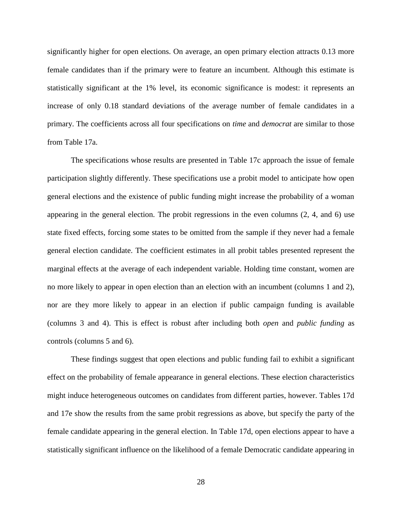significantly higher for open elections. On average, an open primary election attracts 0.13 more female candidates than if the primary were to feature an incumbent. Although this estimate is statistically significant at the 1% level, its economic significance is modest: it represents an increase of only 0.18 standard deviations of the average number of female candidates in a primary. The coefficients across all four specifications on *time* and *democrat* are similar to those from Table 17a.

The specifications whose results are presented in Table 17c approach the issue of female participation slightly differently. These specifications use a probit model to anticipate how open general elections and the existence of public funding might increase the probability of a woman appearing in the general election. The probit regressions in the even columns (2, 4, and 6) use state fixed effects, forcing some states to be omitted from the sample if they never had a female general election candidate. The coefficient estimates in all probit tables presented represent the marginal effects at the average of each independent variable. Holding time constant, women are no more likely to appear in open election than an election with an incumbent (columns 1 and 2), nor are they more likely to appear in an election if public campaign funding is available (columns 3 and 4). This is effect is robust after including both *open* and *public funding* as controls (columns 5 and 6).

These findings suggest that open elections and public funding fail to exhibit a significant effect on the probability of female appearance in general elections. These election characteristics might induce heterogeneous outcomes on candidates from different parties, however. Tables 17d and 17e show the results from the same probit regressions as above, but specify the party of the female candidate appearing in the general election. In Table 17d, open elections appear to have a statistically significant influence on the likelihood of a female Democratic candidate appearing in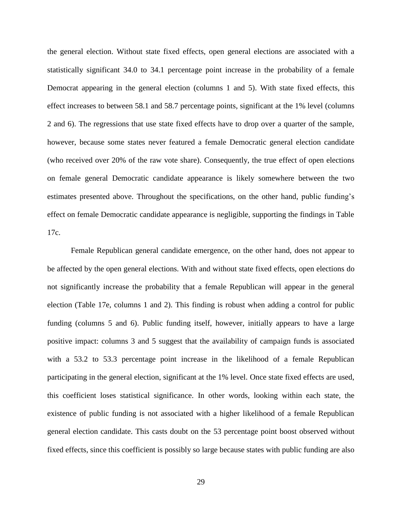the general election. Without state fixed effects, open general elections are associated with a statistically significant 34.0 to 34.1 percentage point increase in the probability of a female Democrat appearing in the general election (columns 1 and 5). With state fixed effects, this effect increases to between 58.1 and 58.7 percentage points, significant at the 1% level (columns 2 and 6). The regressions that use state fixed effects have to drop over a quarter of the sample, however, because some states never featured a female Democratic general election candidate (who received over 20% of the raw vote share). Consequently, the true effect of open elections on female general Democratic candidate appearance is likely somewhere between the two estimates presented above. Throughout the specifications, on the other hand, public funding's effect on female Democratic candidate appearance is negligible, supporting the findings in Table 17c.

Female Republican general candidate emergence, on the other hand, does not appear to be affected by the open general elections. With and without state fixed effects, open elections do not significantly increase the probability that a female Republican will appear in the general election (Table 17e, columns 1 and 2). This finding is robust when adding a control for public funding (columns 5 and 6). Public funding itself, however, initially appears to have a large positive impact: columns 3 and 5 suggest that the availability of campaign funds is associated with a 53.2 to 53.3 percentage point increase in the likelihood of a female Republican participating in the general election, significant at the 1% level. Once state fixed effects are used, this coefficient loses statistical significance. In other words, looking within each state, the existence of public funding is not associated with a higher likelihood of a female Republican general election candidate. This casts doubt on the 53 percentage point boost observed without fixed effects, since this coefficient is possibly so large because states with public funding are also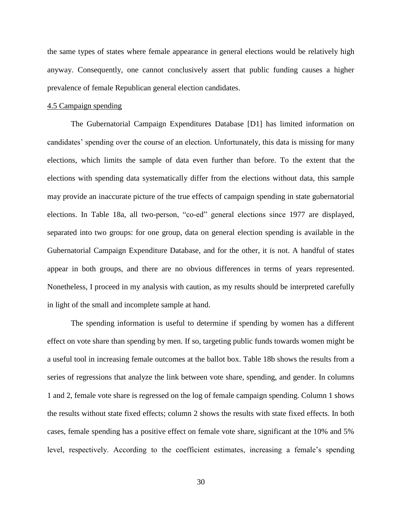the same types of states where female appearance in general elections would be relatively high anyway. Consequently, one cannot conclusively assert that public funding causes a higher prevalence of female Republican general election candidates.

#### 4.5 Campaign spending

The Gubernatorial Campaign Expenditures Database [D1] has limited information on candidates' spending over the course of an election. Unfortunately, this data is missing for many elections, which limits the sample of data even further than before. To the extent that the elections with spending data systematically differ from the elections without data, this sample may provide an inaccurate picture of the true effects of campaign spending in state gubernatorial elections. In Table 18a, all two-person, "co-ed" general elections since 1977 are displayed, separated into two groups: for one group, data on general election spending is available in the Gubernatorial Campaign Expenditure Database, and for the other, it is not. A handful of states appear in both groups, and there are no obvious differences in terms of years represented. Nonetheless, I proceed in my analysis with caution, as my results should be interpreted carefully in light of the small and incomplete sample at hand.

The spending information is useful to determine if spending by women has a different effect on vote share than spending by men. If so, targeting public funds towards women might be a useful tool in increasing female outcomes at the ballot box. Table 18b shows the results from a series of regressions that analyze the link between vote share, spending, and gender. In columns 1 and 2, female vote share is regressed on the log of female campaign spending. Column 1 shows the results without state fixed effects; column 2 shows the results with state fixed effects. In both cases, female spending has a positive effect on female vote share, significant at the 10% and 5% level, respectively. According to the coefficient estimates, increasing a female's spending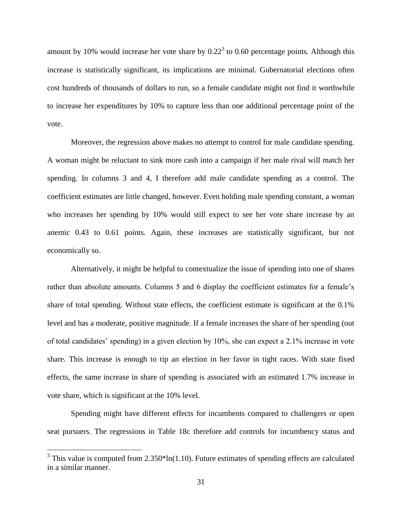amount by 10% would increase her vote share by  $0.22<sup>3</sup>$  to 0.60 percentage points. Although this increase is statistically significant, its implications are minimal. Gubernatorial elections often cost hundreds of thousands of dollars to run, so a female candidate might not find it worthwhile to increase her expenditures by 10% to capture less than one additional percentage point of the vote.

Moreover, the regression above makes no attempt to control for male candidate spending. A woman might be reluctant to sink more cash into a campaign if her male rival will match her spending. In columns 3 and 4, I therefore add male candidate spending as a control. The coefficient estimates are little changed, however. Even holding male spending constant, a woman who increases her spending by 10% would still expect to see her vote share increase by an anemic 0.43 to 0.61 points. Again, these increases are statistically significant, but not economically so.

Alternatively, it might be helpful to contextualize the issue of spending into one of shares rather than absolute amounts. Columns 5 and 6 display the coefficient estimates for a female's share of total spending. Without state effects, the coefficient estimate is significant at the 0.1% level and has a moderate, positive magnitude. If a female increases the share of her spending (out of total candidates' spending) in a given election by 10%, she can expect a 2.1% increase in vote share. This increase is enough to tip an election in her favor in tight races. With state fixed effects, the same increase in share of spending is associated with an estimated 1.7% increase in vote share, which is significant at the 10% level.

Spending might have different effects for incumbents compared to challengers or open seat pursuers. The regressions in Table 18c therefore add controls for incumbency status and

 $\overline{a}$ 

 $3$  This value is computed from 2.350\*ln(1.10). Future estimates of spending effects are calculated in a similar manner.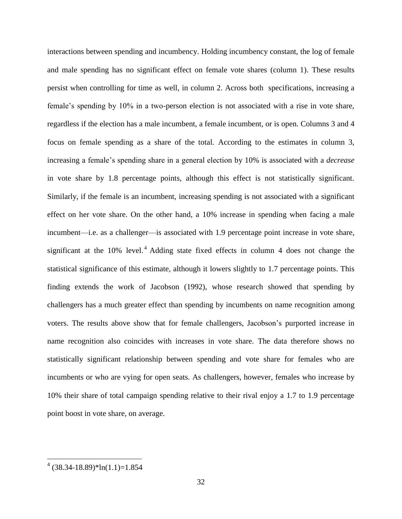interactions between spending and incumbency. Holding incumbency constant, the log of female and male spending has no significant effect on female vote shares (column 1). These results persist when controlling for time as well, in column 2. Across both specifications, increasing a female's spending by 10% in a two-person election is not associated with a rise in vote share, regardless if the election has a male incumbent, a female incumbent, or is open. Columns 3 and 4 focus on female spending as a share of the total. According to the estimates in column 3, increasing a female's spending share in a general election by 10% is associated with a *decrease* in vote share by 1.8 percentage points, although this effect is not statistically significant. Similarly, if the female is an incumbent, increasing spending is not associated with a significant effect on her vote share. On the other hand, a 10% increase in spending when facing a male incumbent—i.e. as a challenger—is associated with 1.9 percentage point increase in vote share, significant at the  $10\%$  level.<sup>4</sup> Adding state fixed effects in column 4 does not change the statistical significance of this estimate, although it lowers slightly to 1.7 percentage points. This finding extends the work of Jacobson (1992), whose research showed that spending by challengers has a much greater effect than spending by incumbents on name recognition among voters. The results above show that for female challengers, Jacobson's purported increase in name recognition also coincides with increases in vote share. The data therefore shows no statistically significant relationship between spending and vote share for females who are incumbents or who are vying for open seats. As challengers, however, females who increase by 10% their share of total campaign spending relative to their rival enjoy a 1.7 to 1.9 percentage point boost in vote share, on average.

 $\overline{a}$ 

 $(38.34 - 18.89)$ \*ln $(1.1) = 1.854$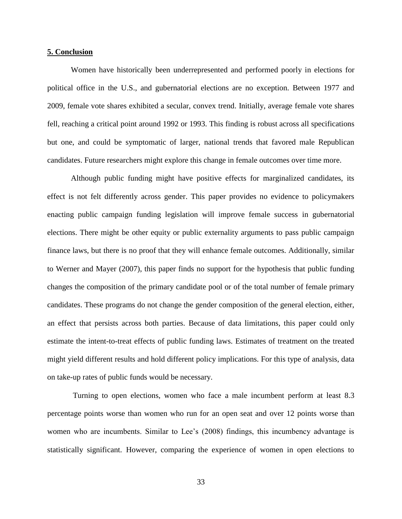## **5. Conclusion**

Women have historically been underrepresented and performed poorly in elections for political office in the U.S., and gubernatorial elections are no exception. Between 1977 and 2009, female vote shares exhibited a secular, convex trend. Initially, average female vote shares fell, reaching a critical point around 1992 or 1993. This finding is robust across all specifications but one, and could be symptomatic of larger, national trends that favored male Republican candidates. Future researchers might explore this change in female outcomes over time more.

Although public funding might have positive effects for marginalized candidates, its effect is not felt differently across gender. This paper provides no evidence to policymakers enacting public campaign funding legislation will improve female success in gubernatorial elections. There might be other equity or public externality arguments to pass public campaign finance laws, but there is no proof that they will enhance female outcomes. Additionally, similar to Werner and Mayer (2007), this paper finds no support for the hypothesis that public funding changes the composition of the primary candidate pool or of the total number of female primary candidates. These programs do not change the gender composition of the general election, either, an effect that persists across both parties. Because of data limitations, this paper could only estimate the intent-to-treat effects of public funding laws. Estimates of treatment on the treated might yield different results and hold different policy implications. For this type of analysis, data on take-up rates of public funds would be necessary.

Turning to open elections, women who face a male incumbent perform at least 8.3 percentage points worse than women who run for an open seat and over 12 points worse than women who are incumbents. Similar to Lee's (2008) findings, this incumbency advantage is statistically significant. However, comparing the experience of women in open elections to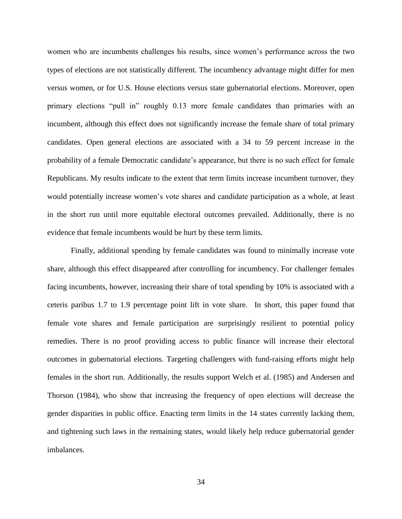women who are incumbents challenges his results, since women's performance across the two types of elections are not statistically different. The incumbency advantage might differ for men versus women, or for U.S. House elections versus state gubernatorial elections. Moreover, open primary elections "pull in" roughly 0.13 more female candidates than primaries with an incumbent, although this effect does not significantly increase the female share of total primary candidates. Open general elections are associated with a 34 to 59 percent increase in the probability of a female Democratic candidate's appearance, but there is no such effect for female Republicans. My results indicate to the extent that term limits increase incumbent turnover, they would potentially increase women's vote shares and candidate participation as a whole, at least in the short run until more equitable electoral outcomes prevailed. Additionally, there is no evidence that female incumbents would be hurt by these term limits.

Finally, additional spending by female candidates was found to minimally increase vote share, although this effect disappeared after controlling for incumbency. For challenger females facing incumbents, however, increasing their share of total spending by 10% is associated with a ceteris paribus 1.7 to 1.9 percentage point lift in vote share. In short, this paper found that female vote shares and female participation are surprisingly resilient to potential policy remedies. There is no proof providing access to public finance will increase their electoral outcomes in gubernatorial elections. Targeting challengers with fund-raising efforts might help females in the short run. Additionally, the results support Welch et al. (1985) and Andersen and Thorson (1984), who show that increasing the frequency of open elections will decrease the gender disparities in public office. Enacting term limits in the 14 states currently lacking them, and tightening such laws in the remaining states, would likely help reduce gubernatorial gender imbalances.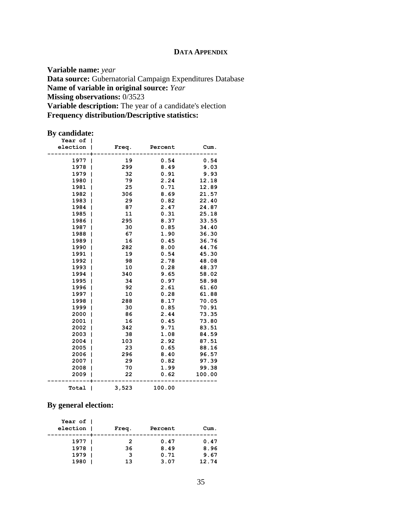# **DATA APPENDIX**

**Variable name:** *year* **Data source:** Gubernatorial Campaign Expenditures Database **Name of variable in original source:** *Year* **Missing observations:** 0/3523 **Variable description:** The year of a candidate's election **Frequency distribution/Descriptive statistics:** 

# **By candidate:**

| Year of  |   |       |         |        |  |
|----------|---|-------|---------|--------|--|
| election |   | Freq. | Percent | Cum.   |  |
|          |   |       |         |        |  |
| 1977     |   | 19    | 0.54    | 0.54   |  |
| 1978     | ı | 299   | 8.49    | 9.03   |  |
| 1979     |   | 32    | 0.91    | 9.93   |  |
| 1980     |   | 79    | 2.24    | 12.18  |  |
| 1981     |   | 25    | 0.71    | 12.89  |  |
| 1982     | ı | 306   | 8.69    | 21.57  |  |
| 1983     | ı | 29    | 0.82    | 22.40  |  |
| 1984     | ı | 87    | 2.47    | 24.87  |  |
| 1985     | ı | 11    | 0.31    | 25.18  |  |
| 1986     | ı | 295   | 8.37    | 33.55  |  |
| 1987     | ı | 30    | 0.85    | 34.40  |  |
| 1988     | ı | 67    | 1.90    | 36.30  |  |
| 1989     | ı | 16    | 0.45    | 36.76  |  |
| 1990     |   | 282   | 8.00    | 44.76  |  |
| 1991     |   | 19    | 0.54    | 45.30  |  |
| 1992     |   | 98    | 2.78    | 48.08  |  |
| 1993     |   | 10    | 0.28    | 48.37  |  |
| 1994     |   | 340   | 9.65    | 58.02  |  |
| 1995     |   | 34    | 0.97    | 58.98  |  |
| 1996     |   | 92    | 2.61    | 61.60  |  |
| 1997     |   | 10    | 0.28    | 61.88  |  |
| 1998     | ı | 288   | 8.17    | 70.05  |  |
| 1999     | ı | 30    | 0.85    | 70.91  |  |
| 2000     |   | 86    | 2.44    | 73.35  |  |
| 2001     |   | 16    | 0.45    | 73.80  |  |
| 2002     | ı | 342   | 9.71    | 83.51  |  |
| 2003     | ı | 38    | 1.08    | 84.59  |  |
| 2004     | ı | 103   | 2.92    | 87.51  |  |
| 2005     | ı | 23    | 0.65    | 88.16  |  |
| 2006     | ı | 296   | 8.40    | 96.57  |  |
| 2007     | ı | 29    | 0.82    | 97.39  |  |
| 2008     |   | 70    | 1.99    | 99.38  |  |
| 2009     |   | 22    | 0.62    | 100.00 |  |
| Total    |   | 3,523 | 100.00  |        |  |

# **By general election:**

| Year of 1<br>election | Freq. | Percent | Cum.  |  |
|-----------------------|-------|---------|-------|--|
| 1977 1                | 2     | 0.47    | 0.47  |  |
| 1978                  | 36    | 8.49    | 8.96  |  |
| 1979                  | 3     | 0.71    | 9.67  |  |
| 1980                  | 13    | 3.07    | 12.74 |  |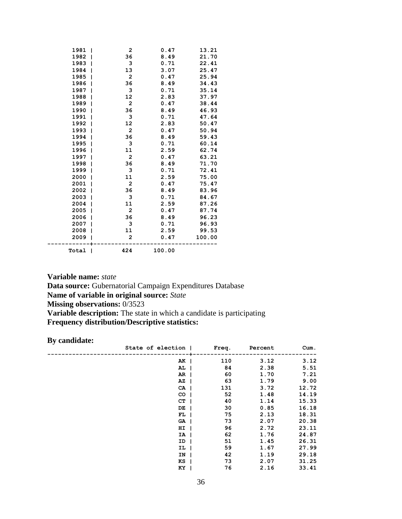| 1981  | 1<br>2              | 0.47   | 13.21  |
|-------|---------------------|--------|--------|
| 1982  | 36                  | 8.49   | 21.70  |
| 1983  | 3<br>1              | 0.71   | 22.41  |
| 1984  | 13                  | 3.07   | 25.47  |
| 1985  | $\overline{2}$<br>1 | 0.47   | 25.94  |
| 1986  | 36<br>ı             | 8.49   | 34.43  |
| 1987  | 3                   | 0.71   | 35.14  |
| 1988  | 12                  | 2.83   | 37.97  |
| 1989  | $\mathbf{2}$        | 0.47   | 38.44  |
| 1990  | 36<br>1             | 8.49   | 46.93  |
| 1991  | 3                   | 0.71   | 47.64  |
| 1992  | 12                  | 2.83   | 50.47  |
| 1993  | $\overline{2}$      | 0.47   | 50.94  |
| 1994  | 36                  | 8.49   | 59.43  |
| 1995  | 3                   | 0.71   | 60.14  |
| 1996  | 11                  | 2.59   | 62.74  |
| 1997  | $\overline{2}$      | 0.47   | 63.21  |
| 1998  | 36                  | 8.49   | 71.70  |
| 1999  | з<br>1              | 0.71   | 72.41  |
| 2000  | 11<br>ı             | 2.59   | 75.00  |
| 2001  | $\mathbf{2}$        | 0.47   | 75.47  |
| 2002  | 36                  | 8.49   | 83.96  |
| 2003  | з                   | 0.71   | 84.67  |
| 2004  | 11                  | 2.59   | 87.26  |
| 2005  | 2<br>ı              | 0.47   | 87.74  |
| 2006  | 36                  | 8.49   | 96.23  |
| 2007  | 3                   | 0.71   | 96.93  |
| 2008  | 11                  | 2.59   | 99.53  |
| 2009  | $\overline{2}$      | 0.47   | 100.00 |
| Total | 424<br>ı            | 100.00 |        |

**Variable name:** *state* **Data source:** Gubernatorial Campaign Expenditures Database **Name of variable in original source:** *State* **Missing observations:** 0/3523 **Variable description:** The state in which a candidate is participating **Frequency distribution/Descriptive statistics:** 

# **By candidate:**

| State of election |    | Freq. | Percent | Cum.  |
|-------------------|----|-------|---------|-------|
| $AK$              |    | 110   | 3.12    | 3.12  |
| AL                |    | 84    | 2.38    | 5.51  |
| $AR$              |    | 60    | 1.70    | 7.21  |
| $\overline{A}Z$   |    | 63    | 1.79    | 9.00  |
| $CA$              |    | 131   | 3.72    | 12.72 |
| CO <sub>1</sub>   |    | 52    | 1.48    | 14.19 |
| CT I              |    | 40    | 1.14    | 15.33 |
| DE                |    | 30    | 0.85    | 16.18 |
| $FL$              |    | 75    | 2.13    | 18.31 |
| GA                |    | 73    | 2.07    | 20.38 |
| $HI$              |    | 96    | 2.72    | 23.11 |
|                   | IA | 62    | 1.76    | 24.87 |
| ID                |    | 51    | 1.45    | 26.31 |
|                   | IL | 59    | 1.67    | 27.99 |
| IN                |    | 42    | 1.19    | 29.18 |
| KS                |    | 73    | 2.07    | 31.25 |
| KY                |    | 76    | 2.16    | 33.41 |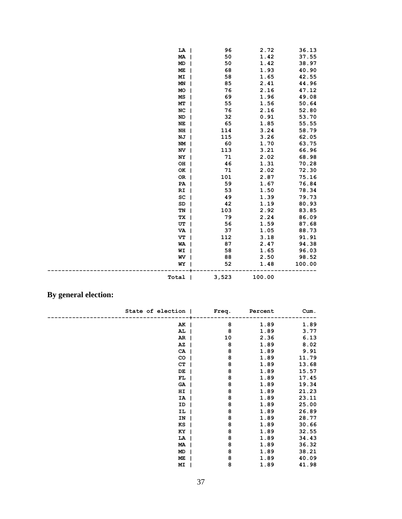| 50<br>1.42<br>37.55<br>MA<br>ı<br>50<br>1.42<br><b>MD</b><br>38.97<br>68<br>1.93<br>40.90<br>ME<br>58<br>1.65<br>42.55<br>МI<br>85<br>2.41<br>44.96<br>MN<br>76<br>2.16<br>47.12<br>MO<br>69<br>1.96<br>49.08<br>MS<br>1.56<br>50.64<br>55<br>MТ<br>76<br>2.16<br>NC<br>52.80<br>32<br>0.91<br>53.70<br><b>ND</b><br>65<br>1.85<br>55.55<br>NE<br>3.24<br>58.79<br>NH<br>114<br>1<br>3.26<br>62.05<br>NJ<br>115<br>1<br>60<br>1.70<br>NM<br>63.75<br>ı<br>3.21<br>113<br>66.96<br>NV<br>ı<br>71<br>2.02<br>68.98<br>NY<br>46<br>1.31<br>70.28<br>OH<br>1<br>71<br>2.02<br>72.30<br>OK  <br>OR  <br>101<br>2.87<br>75.16<br>59<br>1.67<br>76.84<br>$PA$  <br>1.50<br>53<br>78.34<br>RI<br>1<br>SC<br>49<br>1.39<br>79.73<br>42<br>1.19<br>80.93<br>SD<br>103<br>TN<br>2.92<br>83.85<br>1<br>79<br>2.24<br>86.09<br>TХ<br>1<br>UT<br>56<br>1.59<br>87.68<br>1<br>37<br>1.05<br>88.73<br>VA<br><b>I</b><br>112<br>3.18<br>91.91<br>VT | 36.13 |
|------------------------------------------------------------------------------------------------------------------------------------------------------------------------------------------------------------------------------------------------------------------------------------------------------------------------------------------------------------------------------------------------------------------------------------------------------------------------------------------------------------------------------------------------------------------------------------------------------------------------------------------------------------------------------------------------------------------------------------------------------------------------------------------------------------------------------------------------------------------------------------------------------------------------------------|-------|
|                                                                                                                                                                                                                                                                                                                                                                                                                                                                                                                                                                                                                                                                                                                                                                                                                                                                                                                                    |       |
|                                                                                                                                                                                                                                                                                                                                                                                                                                                                                                                                                                                                                                                                                                                                                                                                                                                                                                                                    |       |
|                                                                                                                                                                                                                                                                                                                                                                                                                                                                                                                                                                                                                                                                                                                                                                                                                                                                                                                                    |       |
|                                                                                                                                                                                                                                                                                                                                                                                                                                                                                                                                                                                                                                                                                                                                                                                                                                                                                                                                    |       |
|                                                                                                                                                                                                                                                                                                                                                                                                                                                                                                                                                                                                                                                                                                                                                                                                                                                                                                                                    |       |
|                                                                                                                                                                                                                                                                                                                                                                                                                                                                                                                                                                                                                                                                                                                                                                                                                                                                                                                                    |       |
|                                                                                                                                                                                                                                                                                                                                                                                                                                                                                                                                                                                                                                                                                                                                                                                                                                                                                                                                    |       |
|                                                                                                                                                                                                                                                                                                                                                                                                                                                                                                                                                                                                                                                                                                                                                                                                                                                                                                                                    |       |
|                                                                                                                                                                                                                                                                                                                                                                                                                                                                                                                                                                                                                                                                                                                                                                                                                                                                                                                                    |       |
|                                                                                                                                                                                                                                                                                                                                                                                                                                                                                                                                                                                                                                                                                                                                                                                                                                                                                                                                    |       |
|                                                                                                                                                                                                                                                                                                                                                                                                                                                                                                                                                                                                                                                                                                                                                                                                                                                                                                                                    |       |
|                                                                                                                                                                                                                                                                                                                                                                                                                                                                                                                                                                                                                                                                                                                                                                                                                                                                                                                                    |       |
|                                                                                                                                                                                                                                                                                                                                                                                                                                                                                                                                                                                                                                                                                                                                                                                                                                                                                                                                    |       |
|                                                                                                                                                                                                                                                                                                                                                                                                                                                                                                                                                                                                                                                                                                                                                                                                                                                                                                                                    |       |
|                                                                                                                                                                                                                                                                                                                                                                                                                                                                                                                                                                                                                                                                                                                                                                                                                                                                                                                                    |       |
|                                                                                                                                                                                                                                                                                                                                                                                                                                                                                                                                                                                                                                                                                                                                                                                                                                                                                                                                    |       |
|                                                                                                                                                                                                                                                                                                                                                                                                                                                                                                                                                                                                                                                                                                                                                                                                                                                                                                                                    |       |
|                                                                                                                                                                                                                                                                                                                                                                                                                                                                                                                                                                                                                                                                                                                                                                                                                                                                                                                                    |       |
|                                                                                                                                                                                                                                                                                                                                                                                                                                                                                                                                                                                                                                                                                                                                                                                                                                                                                                                                    |       |
|                                                                                                                                                                                                                                                                                                                                                                                                                                                                                                                                                                                                                                                                                                                                                                                                                                                                                                                                    |       |
|                                                                                                                                                                                                                                                                                                                                                                                                                                                                                                                                                                                                                                                                                                                                                                                                                                                                                                                                    |       |
|                                                                                                                                                                                                                                                                                                                                                                                                                                                                                                                                                                                                                                                                                                                                                                                                                                                                                                                                    |       |
|                                                                                                                                                                                                                                                                                                                                                                                                                                                                                                                                                                                                                                                                                                                                                                                                                                                                                                                                    |       |
|                                                                                                                                                                                                                                                                                                                                                                                                                                                                                                                                                                                                                                                                                                                                                                                                                                                                                                                                    |       |
|                                                                                                                                                                                                                                                                                                                                                                                                                                                                                                                                                                                                                                                                                                                                                                                                                                                                                                                                    |       |
|                                                                                                                                                                                                                                                                                                                                                                                                                                                                                                                                                                                                                                                                                                                                                                                                                                                                                                                                    |       |
|                                                                                                                                                                                                                                                                                                                                                                                                                                                                                                                                                                                                                                                                                                                                                                                                                                                                                                                                    |       |
|                                                                                                                                                                                                                                                                                                                                                                                                                                                                                                                                                                                                                                                                                                                                                                                                                                                                                                                                    |       |
| 87<br>94.38<br>2.47<br>WA                                                                                                                                                                                                                                                                                                                                                                                                                                                                                                                                                                                                                                                                                                                                                                                                                                                                                                          |       |
| 1.65<br>58<br>96.03<br>WI                                                                                                                                                                                                                                                                                                                                                                                                                                                                                                                                                                                                                                                                                                                                                                                                                                                                                                          |       |
| 88<br>2.50<br>98.52<br>WV<br>1                                                                                                                                                                                                                                                                                                                                                                                                                                                                                                                                                                                                                                                                                                                                                                                                                                                                                                     |       |
| 52<br>1.48<br>100.00<br>WY                                                                                                                                                                                                                                                                                                                                                                                                                                                                                                                                                                                                                                                                                                                                                                                                                                                                                                         |       |
| 3,523<br>100.00<br>Total                                                                                                                                                                                                                                                                                                                                                                                                                                                                                                                                                                                                                                                                                                                                                                                                                                                                                                           |       |

# **By general election:**

| State of election | Freq. | Percent | Cum.  |
|-------------------|-------|---------|-------|
|                   |       |         |       |
| $AK$              | 8     | 1.89    | 1.89  |
| AL                | 8     | 1.89    | 3.77  |
| $AR$              | 10    | 2.36    | 6.13  |
| $AZ$              | 8     | 1.89    | 8.02  |
| $CA$              | 8     | 1.89    | 9.91  |
| CO <sub>1</sub>   | 8     | 1.89    | 11.79 |
| CT                | 8     | 1.89    | 13.68 |
| DE                | 8     | 1.89    | 15.57 |
| $FL$              | 8     | 1.89    | 17.45 |
| GA                | 8     | 1.89    | 19.34 |
| $HI$              | 8     | 1.89    | 21.23 |
| IA                | 8     | 1.89    | 23.11 |
| ID                | 8     | 1.89    | 25.00 |
| IL                | 8     | 1.89    | 26.89 |
| IN                | 8     | 1.89    | 28.77 |
| $KS$              | 8     | 1.89    | 30.66 |
| $KY$              | 8     | 1.89    | 32.55 |
| LA                | 8     | 1.89    | 34.43 |
| MA                | 8     | 1.89    | 36.32 |
| MD                | 8     | 1.89    | 38.21 |
| ME                | 8     | 1.89    | 40.09 |
| MI                | 8     | 1.89    | 41.98 |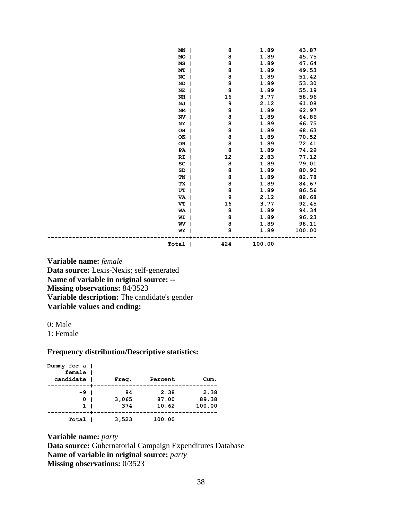| MN                     | 8                   | 1.89   | 43.87  |
|------------------------|---------------------|--------|--------|
| MO                     | 8                   | 1.89   | 45.75  |
| MS                     | 8                   | 1.89   | 47.64  |
| MT                     | 8                   | 1.89   | 49.53  |
| NC                     | 8                   | 1.89   | 51.42  |
| <b>ND</b>              | 8                   | 1.89   | 53.30  |
| NE                     | 8                   | 1.89   | 55.19  |
| $\mathbf{N}\mathbf{H}$ | 16                  | 3.77   | 58.96  |
| NJ                     | 9                   | 2.12   | 61.08  |
| NM                     | 8                   | 1.89   | 62.97  |
| NV                     | 8                   | 1.89   | 64.86  |
| NY                     | 8                   | 1.89   | 66.75  |
| OH                     | 8                   | 1.89   | 68.63  |
| OK                     | 8                   | 1.89   | 70.52  |
| 0R                     | 8                   | 1.89   | 72.41  |
| PA                     | 8                   | 1.89   | 74.29  |
| RI                     | 12                  | 2.83   | 77.12  |
| SC                     | 8                   | 1.89   | 79.01  |
| SD                     | 8                   | 1.89   | 80.90  |
| TN                     | 8                   | 1.89   | 82.78  |
| ТX                     | 8                   | 1.89   | 84.67  |
| UT                     | 8                   | 1.89   | 86.56  |
| VA                     | 9                   | 2.12   | 88.68  |
| VT                     | 16                  | 3.77   | 92.45  |
| WA                     | 8                   | 1.89   | 94.34  |
| WI                     | 8                   | 1.89   | 96.23  |
| WV                     | 8                   | 1.89   | 98.11  |
| WY                     | 8                   | 1.89   | 100.00 |
| Total                  | 424<br>$\mathbf{I}$ | 100.00 |        |

**Variable name:** *female* **Data source:** Lexis-Nexis; self-generated **Name of variable in original source: -- Missing observations:** 84/3523 **Variable description:** The candidate's gender **Variable values and coding:** 

0: Male

1: Female

## **Frequency distribution/Descriptive statistics:**

| Dummy for a  <br>female  <br>candidate |              | Freq.              | Percent                | Cum.                    |
|----------------------------------------|--------------|--------------------|------------------------|-------------------------|
| -91<br>0<br>$\mathbf{1}$               | $\mathbf{I}$ | 84<br>3,065<br>374 | 2.38<br>87.00<br>10.62 | 2.38<br>89.38<br>100.00 |
| Total                                  |              | 3,523              | 100.00                 |                         |

**Variable name:** *party* **Data source:** Gubernatorial Campaign Expenditures Database **Name of variable in original source:** *party* **Missing observations:** 0/3523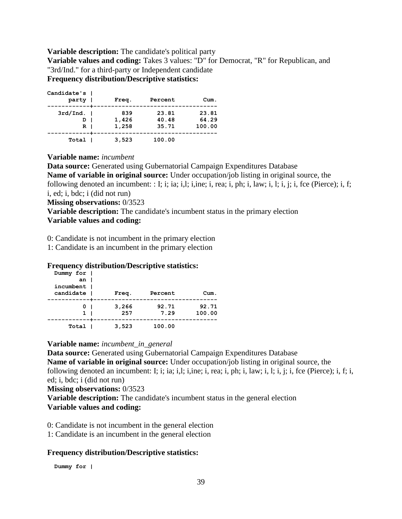#### **Variable description:** The candidate's political party

**Variable values and coding:** Takes 3 values: "D" for Democrat, "R" for Republican, and "3rd/Ind." for a third-party or Independent candidate **Frequency distribution/Descriptive statistics:** 

| Candidate's  <br>party                | Freq.                 | Percent                 | Cum.                     |
|---------------------------------------|-----------------------|-------------------------|--------------------------|
| $3rd/Ind.$  <br>ו מ<br>R <sub>1</sub> | 839<br>1,426<br>1,258 | 23.81<br>40.48<br>35.71 | 23.81<br>64.29<br>100.00 |
| Total                                 | 3,523                 | 100.00                  |                          |

#### **Variable name:** *incumbent*

**Data source:** Generated using Gubernatorial Campaign Expenditures Database **Name of variable in original source:** Under occupation/job listing in original source, the following denoted an incumbent: : I; i; ia; i,l; i,ine; i, rea; i, ph; i, law; i, l; i, j; i, fce (Pierce); i, f; i, ed; i, bdc; i (did not run)

**Missing observations:** 0/3523

**Variable description:** The candidate's incumbent status in the primary election **Variable values and coding:** 

0: Candidate is not incumbent in the primary election

1: Candidate is an incumbent in the primary election

#### **Frequency distribution/Descriptive statistics:**

| Dummy for  <br>an I<br>incumbent  <br>candidate | Freq.        | Percent       | Cum.            |
|-------------------------------------------------|--------------|---------------|-----------------|
| 01<br>$\mathbf{1}$                              | 3,266<br>257 | 92.71<br>7.29 | 92.71<br>100.00 |
| Total                                           | 3,523        | 100.00        |                 |

**Variable name:** *incumbent\_in\_general*

**Data source:** Generated using Gubernatorial Campaign Expenditures Database **Name of variable in original source:** Under occupation/job listing in original source, the following denoted an incumbent: I; i; ia; i,l; i,ine; i, rea; i, ph; i, law; i, l; i, j; i, fce (Pierce); i, f; i, ed; i, bdc; i (did not run)

**Missing observations:** 0/3523

**Variable description:** The candidate's incumbent status in the general election **Variable values and coding:** 

0: Candidate is not incumbent in the general election

1: Candidate is an incumbent in the general election

#### **Frequency distribution/Descriptive statistics:**

 **Dummy for |**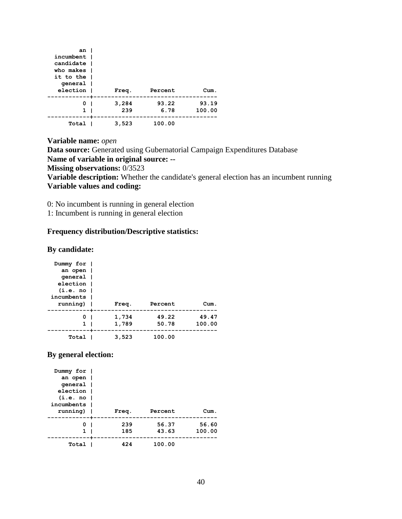| an<br>incumbent<br>candidate  <br>who makes I<br>it to the I<br>qeneral  <br>election | Freq.        | Percent       | Cum.            |
|---------------------------------------------------------------------------------------|--------------|---------------|-----------------|
| 0<br>1                                                                                | 3,284<br>239 | 93.22<br>6.78 | 93.19<br>100.00 |
| Total                                                                                 | 3,523        | 100.00        |                 |

**Variable name:** *open* **Data source:** Generated using Gubernatorial Campaign Expenditures Database **Name of variable in original source: -- Missing observations:** 0/3523 **Variable description:** Whether the candidate's general election has an incumbent running **Variable values and coding:** 

0: No incumbent is running in general election

1: Incumbent is running in general election

## **Frequency distribution/Descriptive statistics:**

#### **By candidate:**

| Dummy for  <br>an open  <br>qeneral  <br>election  <br>(i.e. no)<br>incumbents  <br>running) | Freq.          | Percent        | Cum.            |
|----------------------------------------------------------------------------------------------|----------------|----------------|-----------------|
| 0<br>1                                                                                       | 1,734<br>1,789 | 49.22<br>50.78 | 49.47<br>100.00 |
| Total                                                                                        | 3,523          | 100.00         |                 |

## **By general election:**

| Dummy for  |       |         |        |
|------------|-------|---------|--------|
| an open    |       |         |        |
| qeneral    |       |         |        |
| election   |       |         |        |
| (i.e. no   |       |         |        |
| incumbents |       |         |        |
| running)   | Freq. | Percent | Cum.   |
|            |       |         |        |
| 0          | 239   | 56.37   | 56.60  |
| 1          | 185   | 43.63   | 100.00 |
|            |       |         |        |
|            |       |         |        |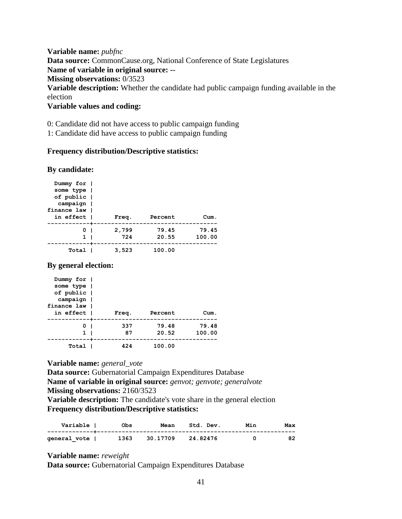**Variable name:** *pubfnc* **Data source:** CommonCause.org, National Conference of State Legislatures **Name of variable in original source: -- Missing observations:** 0/3523 **Variable description:** Whether the candidate had public campaign funding available in the election

**Variable values and coding:** 

0: Candidate did not have access to public campaign funding

1: Candidate did have access to public campaign funding

#### **Frequency distribution/Descriptive statistics:**

#### **By candidate:**

| Dummy for  <br>some type  <br>of public  <br>campaign  <br>finance law  <br>in effect | Freq.        | Percent        | Cum.            |
|---------------------------------------------------------------------------------------|--------------|----------------|-----------------|
| 0 <sub>1</sub><br>1                                                                   | 2,799<br>724 | 79.45<br>20.55 | 79.45<br>100.00 |
| Total                                                                                 | 3,523        | 100.00         |                 |

**By general election:**

| Dummy for  <br>some type  <br>of public |       |         |        |
|-----------------------------------------|-------|---------|--------|
| campaign                                |       |         |        |
| finance law I                           |       |         |        |
| in effect l                             | Freq. | Percent | Cum.   |
|                                         |       |         |        |
| 0                                       | 337   | 79.48   | 79.48  |
| 1                                       | 87    | 20.52   | 100.00 |
|                                         |       |         |        |
| Total                                   | 424   | 100.00  |        |

**Variable name:** *general\_vote*

**Data source:** Gubernatorial Campaign Expenditures Database **Name of variable in original source:** *genvot; genvote; generalvote* **Missing observations:** 2160/3523 **Variable description:** The candidate's vote share in the general election **Frequency distribution/Descriptive statistics:** 

| Variable I   | <b>Obs</b> | Mean     | Std. Dev. | Min | Max |
|--------------|------------|----------|-----------|-----|-----|
| qeneral vote | 1363       | 30.17709 | 24.82476  |     | 82  |

**Variable name:** *reweight*

**Data source:** Gubernatorial Campaign Expenditures Database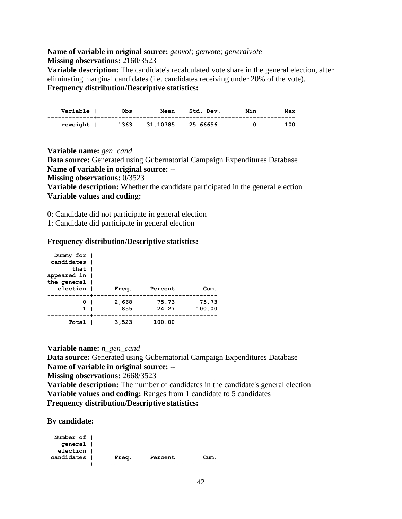# **Name of variable in original source:** *genvot; genvote; generalvote* **Missing observations:** 2160/3523

**Variable description:** The candidate's recalculated vote share in the general election, after eliminating marginal candidates (i.e. candidates receiving under 20% of the vote). **Frequency distribution/Descriptive statistics:** 

| Variable I | Obs  | Mean     | Std. Dev. | Min | Max |
|------------|------|----------|-----------|-----|-----|
| reweight   | 1363 | 31.10785 | 25.66656  |     | 100 |

**Variable name:** *gen\_cand* **Data source:** Generated using Gubernatorial Campaign Expenditures Database **Name of variable in original source: -- Missing observations:** 0/3523 **Variable description:** Whether the candidate participated in the general election **Variable values and coding:** 

0: Candidate did not participate in general election

1: Candidate did participate in general election

#### **Frequency distribution/Descriptive statistics:**

| Dummy for I<br>candidates  <br>that I<br>appeared in  <br>the general |              |                |                 |
|-----------------------------------------------------------------------|--------------|----------------|-----------------|
| election                                                              | Freq.        | Percent        | Cum.            |
| 0<br>1                                                                | 2,668<br>855 | 75.73<br>24.27 | 75.73<br>100.00 |
| Total                                                                 | 3,523        | 100.00         |                 |

**Variable name:** *n\_gen\_cand*

**Data source:** Generated using Gubernatorial Campaign Expenditures Database **Name of variable in original source: --**

**Missing observations:** 2668/3523

**Variable description:** The number of candidates in the candidate's general election **Variable values and coding:** Ranges from 1 candidate to 5 candidates **Frequency distribution/Descriptive statistics:** 

**By candidate:**

| Number of 1 |       |         |      |
|-------------|-------|---------|------|
| qeneral     |       |         |      |
| election    |       |         |      |
| candidates  | Freq. | Percent | Cum. |
|             |       |         |      |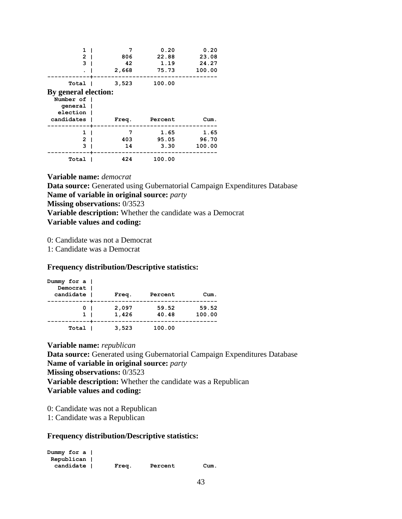| 1<br>$\mathbf{2}$<br>3 | 7<br>806<br>42<br>2,668 | 0.20<br>22.88<br>1.19<br>75.73 | 0.20<br>23.08<br>24.27<br>100.00 |
|------------------------|-------------------------|--------------------------------|----------------------------------|
| Total I                | 3,523                   | 100.00                         |                                  |
| By general election:   |                         |                                |                                  |
| Number of              |                         |                                |                                  |
| general                |                         |                                |                                  |
| election               |                         |                                |                                  |
| candidates             | Freq.                   | Percent                        | Cum.                             |
| 1                      | 7                       | 1.65                           | 1.65                             |
| 2                      | 403                     | 95.05                          | 96.70                            |
| 3                      | 14                      | 3.30                           | 100.00                           |
| Total                  | 424                     | 100.00                         |                                  |

**Variable name:** *democrat* **Data source:** Generated using Gubernatorial Campaign Expenditures Database **Name of variable in original source:** *party* **Missing observations:** 0/3523 **Variable description:** Whether the candidate was a Democrat **Variable values and coding:** 

0: Candidate was not a Democrat

1: Candidate was a Democrat

#### **Frequency distribution/Descriptive statistics:**

| Dummy for $a \mid$<br>Democrat |       |         |        |
|--------------------------------|-------|---------|--------|
| candidate                      |       | Percent | Cum.   |
|                                | Freq. |         |        |
| 01                             | 2,097 | 59.52   | 59.52  |
| 1 <sub>1</sub>                 | 1,426 | 40.48   | 100.00 |
| Total                          | 3,523 | 100.00  |        |

**Variable name:** *republican* **Data source:** Generated using Gubernatorial Campaign Expenditures Database **Name of variable in original source:** *party* **Missing observations:** 0/3523 **Variable description:** Whether the candidate was a Republican **Variable values and coding:** 

0: Candidate was not a Republican

1: Candidate was a Republican

## **Frequency distribution/Descriptive statistics:**

**Dummy for a | Republican | candidate | Freq. Percent Cum.**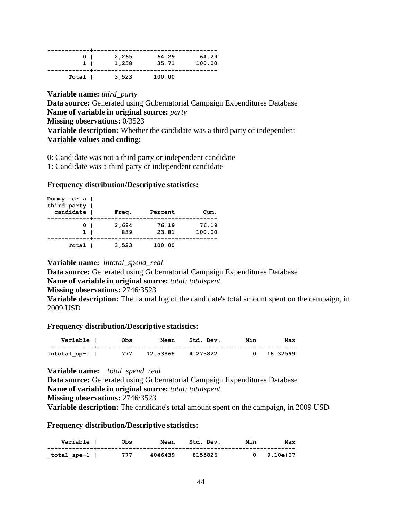| 0 <sub>1</sub> | 2,265 | 64.29  | 64.29  |
|----------------|-------|--------|--------|
| 1 <sub>1</sub> | 1,258 | 35.71  | 100.00 |
|                |       |        |        |
| Total          | 3,523 | 100.00 |        |

**Variable name:** *third\_party* **Data source:** Generated using Gubernatorial Campaign Expenditures Database **Name of variable in original source:** *party* **Missing observations:** 0/3523 **Variable description:** Whether the candidate was a third party or independent **Variable values and coding:** 

0: Candidate was not a third party or independent candidate

1: Candidate was a third party or independent candidate

#### **Frequency distribution/Descriptive statistics:**

| Dummy for $a \mid$<br>third party |       |         |        |
|-----------------------------------|-------|---------|--------|
| candidate                         | Freq. | Percent | Cum.   |
| 0 <sub>1</sub>                    | 2,684 | 76.19   | 76.19  |
| 1 <sub>1</sub>                    | 839   | 23.81   | 100.00 |
| Total                             | 3,523 | 100.00  |        |

#### **Variable name:** *lntotal\_spend\_real*

**Data source:** Generated using Gubernatorial Campaign Expenditures Database **Name of variable in original source:** *total; totalspent* **Missing observations:** 2746/3523

**Variable description:** The natural log of the candidate's total amount spent on the campaign, in 2009 USD

#### **Frequency distribution/Descriptive statistics:**

| Variable I   | Obs | Mean     | Std. Dev. | Min | Max      |
|--------------|-----|----------|-----------|-----|----------|
| lntotal_sp~1 | 777 | 12.53868 | 4.273822  |     | 18.32599 |

**Variable name:** *\_total\_spend\_real*

**Data source:** Generated using Gubernatorial Campaign Expenditures Database **Name of variable in original source:** *total; totalspent* **Missing observations:** 2746/3523

**Variable description:** The candidate's total amount spent on the campaign, in 2009 USD

**Frequency distribution/Descriptive statistics:** 

| Variable l  | Obs | Mean    | Std. Dev. | Min | Max      |
|-------------|-----|---------|-----------|-----|----------|
| total spe~l | 777 | 4046439 | 8155826   |     | 9.10e+07 |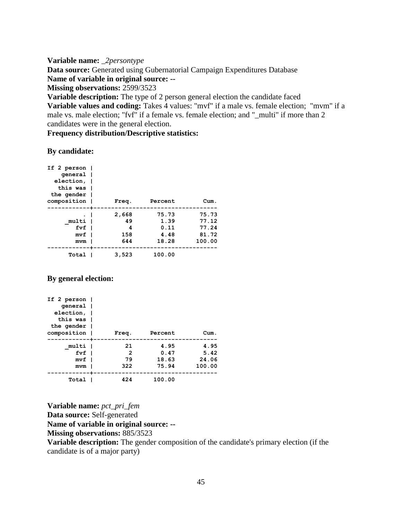**Variable name:** *\_2persontype* **Data source:** Generated using Gubernatorial Campaign Expenditures Database **Name of variable in original source: -- Missing observations:** 2599/3523 **Variable description:** The type of 2 person general election the candidate faced

**Variable values and coding:** Takes 4 values: "mvf" if a male vs. female election; "mvm" if a male vs. male election; "fvf" if a female vs. female election; and "\_multi" if more than 2 candidates were in the general election.

#### **Frequency distribution/Descriptive statistics:**

#### **By candidate:**

| If 2 person  <br>qeneral  <br>election, I<br>this was  <br>the gender |                                |                                        |                                            |
|-----------------------------------------------------------------------|--------------------------------|----------------------------------------|--------------------------------------------|
| composition                                                           | Freq.                          | Percent                                | Cum.                                       |
| multi  <br>fvf<br>mvf<br>mvm                                          | 2,668<br>49<br>4<br>158<br>644 | 75.73<br>1.39<br>0.11<br>4.48<br>18.28 | 75.73<br>77.12<br>77.24<br>81.72<br>100.00 |
| Total                                                                 | 3,523                          | 100.00                                 |                                            |

## **By general election:**

| If 2 person $ $<br>qeneral  <br>election, I<br>this was  <br>the gender  <br>composition | Freq. | Percent | Cum.   |
|------------------------------------------------------------------------------------------|-------|---------|--------|
| multi I                                                                                  | 21    | 4.95    | 4.95   |
| $fvf$                                                                                    | 2     | 0.47    | 5.42   |
| mvf                                                                                      | 79    | 18.63   | 24.06  |
| mvm                                                                                      | 322   | 75.94   | 100.00 |
| Total                                                                                    | 424   | 100.00  |        |

**Variable name:** *pct\_pri\_fem* **Data source:** Self-generated

**Name of variable in original source: --**

**Missing observations:** 885/3523

**Variable description:** The gender composition of the candidate's primary election (if the candidate is of a major party)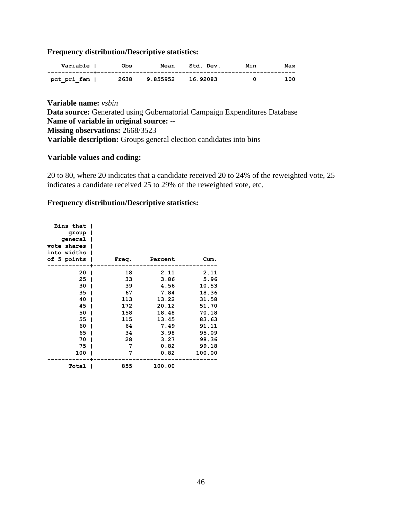## **Frequency distribution/Descriptive statistics:**

| Variable    | Obs  | Mean     | Std. Dev. | Min | Max |
|-------------|------|----------|-----------|-----|-----|
| pct pri fem | 2638 | 9.855952 | 16.92083  |     | 100 |

**Variable name:** *vsbin* Data source: Generated using Gubernatorial Campaign Expenditures Database **Name of variable in original source:** -- **Missing observations:** 2668/3523 **Variable description:** Groups general election candidates into bins

#### **Variable values and coding:**

20 to 80, where 20 indicates that a candidate received 20 to 24% of the reweighted vote, 25 indicates a candidate received 25 to 29% of the reweighted vote, etc.

#### **Frequency distribution/Descriptive statistics:**

| Bins that<br>group  <br>general<br>vote shares<br>into widths<br>of 5 points |              | Freq. | Percent | Cum.   |
|------------------------------------------------------------------------------|--------------|-------|---------|--------|
| 20                                                                           | $\mathbf{I}$ | 18    | 2.11    | 2.11   |
| 25                                                                           |              | 33    | 3.86    | 5.96   |
| 30                                                                           |              | 39    | 4.56    | 10.53  |
| 35                                                                           |              | - 67  | 7.84    | 18.36  |
| 40                                                                           |              | 113   | 13.22   | 31.58  |
| 45                                                                           |              | 172   | 20.12   | 51.70  |
| 50                                                                           |              | 158   | 18.48   | 70.18  |
| 55                                                                           |              | 115   | 13.45   | 83.63  |
| 60                                                                           |              | 64    | 7.49    | 91.11  |
| 65                                                                           |              | 34    | 3.98    | 95.09  |
| 70                                                                           |              | 28    | 3.27    | 98.36  |
| 75                                                                           |              | 7     | 0.82    | 99.18  |
| 100                                                                          |              | 7     | 0.82    | 100.00 |
| Total                                                                        |              | 855   | 100.00  |        |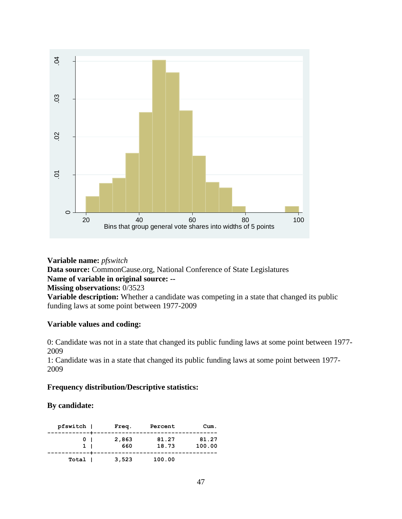

**Variable name:** *pfswitch* **Data source:** CommonCause.org, National Conference of State Legislatures **Name of variable in original source: -- Missing observations:** 0/3523 **Variable description:** Whether a candidate was competing in a state that changed its public funding laws at some point between 1977-2009

## **Variable values and coding:**

0: Candidate was not in a state that changed its public funding laws at some point between 1977- 2009

1: Candidate was in a state that changed its public funding laws at some point between 1977- 2009

## **Frequency distribution/Descriptive statistics:**

## **By candidate:**

| pfswitch          | Freq.        | Percent        | Cum.            |
|-------------------|--------------|----------------|-----------------|
| 0<br>$\mathbf{1}$ | 2,863<br>660 | 81.27<br>18.73 | 81.27<br>100.00 |
| Total I           | 3,523        | 100.00         |                 |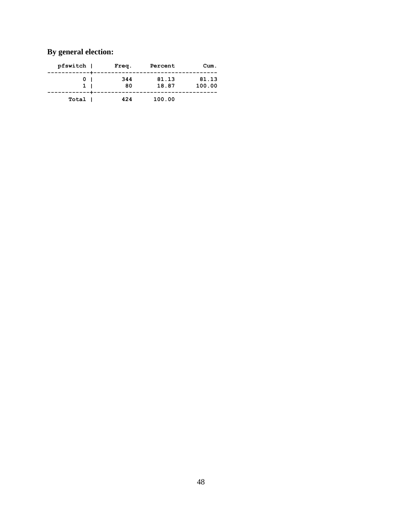# **By general election:**

| Cum.            | Percent        | Freq.     | pfswitch     |
|-----------------|----------------|-----------|--------------|
| 81.13<br>100.00 | 81.13<br>18.87 | 344<br>80 | $\mathbf{1}$ |
|                 | 100.00         | 424       | Total I      |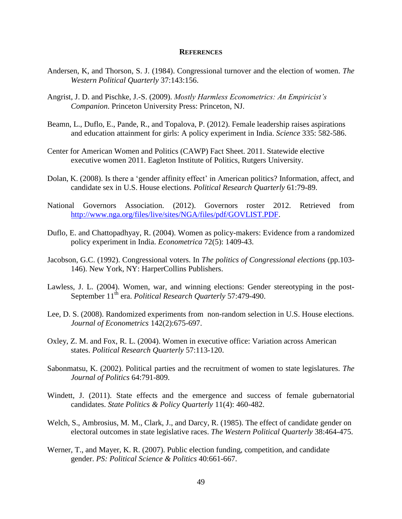#### **REFERENCES**

- Andersen, K, and Thorson, S. J. (1984). Congressional turnover and the election of women. *The Western Political Quarterly* 37:143:156.
- Angrist, J. D. and Pischke, J.-S. (2009). *Mostly Harmless Econometrics: An Empiricist's Companion*. Princeton University Press: Princeton, NJ.
- Beamn, L., Duflo, E., Pande, R., and Topalova, P. (2012). Female leadership raises aspirations and education attainment for girls: A policy experiment in India. *Science* 335: 582-586.
- Center for American Women and Politics (CAWP) Fact Sheet. 2011. Statewide elective executive women 2011. Eagleton Institute of Politics, Rutgers University.
- Dolan, K. (2008). Is there a 'gender affinity effect' in American politics? Information, affect, and candidate sex in U.S. House elections. *Political Research Quarterly* 61:79-89.
- National Governors Association. (2012). Governors roster 2012. Retrieved from [http://www.nga.org/files/live/sites/NGA/files/pdf/GOVLIST.PDF.](http://www.nga.org/files/live/sites/NGA/files/pdf/GOVLIST.PDF)
- Duflo, E. and Chattopadhyay, R. (2004). Women as policy-makers: Evidence from a randomized policy experiment in India. *Econometrica* 72(5): 1409-43.
- Jacobson, G.C. (1992). Congressional voters. In *The politics of Congressional elections* (pp.103- 146). New York, NY: HarperCollins Publishers.
- Lawless, J. L. (2004). Women, war, and winning elections: Gender stereotyping in the post-September 11<sup>th</sup> era. *Political Research Quarterly* 57:479-490.
- Lee, D. S. (2008). Randomized experiments from non-random selection in U.S. House elections. *Journal of Econometrics* 142(2):675-697.
- Oxley, Z. M. and Fox, R. L. (2004). Women in executive office: Variation across American states. *Political Research Quarterly* 57:113-120.
- Sabonmatsu, K. (2002). Political parties and the recruitment of women to state legislatures. *The Journal of Politics* 64:791-809.
- Windett, J. (2011). State effects and the emergence and success of female gubernatorial candidates. *State Politics & Policy Quarterly* 11(4): 460-482.
- Welch, S., Ambrosius, M. M., Clark, J., and Darcy, R. (1985). The effect of candidate gender on electoral outcomes in state legislative races. *The Western Political Quarterly* 38:464-475.
- Werner, T., and Mayer, K. R. (2007). Public election funding, competition, and candidate gender. *PS: Political Science & Politics* 40:661-667.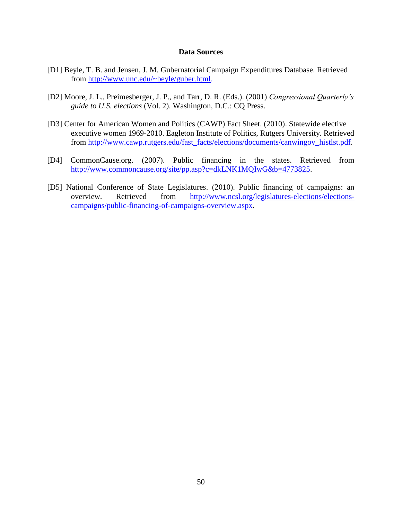#### **Data Sources**

- [D1] Beyle, T. B. and Jensen, J. M. Gubernatorial Campaign Expenditures Database. Retrieved from [http://www.unc.edu/~beyle/guber.html.](http://www.unc.edu/~beyle/guber.html)
- [D2] Moore, J. L., Preimesberger, J. P., and Tarr, D. R. (Eds.). (2001) *Congressional Quarterly's guide to U.S. elections* (Vol. 2). Washington, D.C.: CQ Press.
- [D3] Center for American Women and Politics (CAWP) Fact Sheet. (2010). Statewide elective executive women 1969-2010. Eagleton Institute of Politics, Rutgers University. Retrieved from [http://www.cawp.rutgers.edu/fast\\_facts/elections/documents/canwingov\\_histlst.pdf.](http://www.cawp.rutgers.edu/fast_facts/elections/documents/canwingov_histlst.pdf)
- [D4] CommonCause.org. (2007). Public financing in the states. Retrieved from [http://www.commoncause.org/site/pp.asp?c=dkLNK1MQIwG&b=4773825.](http://www.commoncause.org/site/pp.asp?c=dkLNK1MQIwG&b=4773825)
- [D5] National Conference of State Legislatures. (2010). Public financing of campaigns: an overview. Retrieved from [http://www.ncsl.org/legislatures-elections/elections](http://www.ncsl.org/legislatures-elections/elections-campaigns/public-financing-of-campaigns-overview.aspx)[campaigns/public-financing-of-campaigns-overview.aspx.](http://www.ncsl.org/legislatures-elections/elections-campaigns/public-financing-of-campaigns-overview.aspx)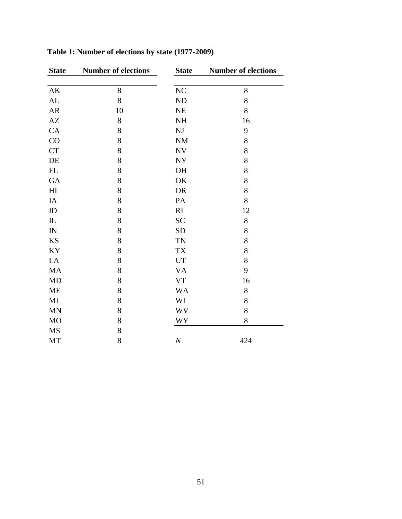| <b>State</b>               | <b>Number of elections</b> | <b>State</b>               | <b>Number of elections</b> |
|----------------------------|----------------------------|----------------------------|----------------------------|
|                            |                            |                            |                            |
| AK                         | 8                          | $\rm NC$                   | 8                          |
| AL                         | 8                          | $\rm ND$                   | 8                          |
| ${\sf AR}$                 | 10                         | $\rm NE$                   | 8                          |
| AZ                         | 8                          | <b>NH</b>                  | 16                         |
| CA                         | 8                          | NJ                         | 9                          |
| CO                         | 8                          | $\mathbf{NM}$              | 8                          |
| ${\cal C}{\cal T}$         | 8                          | <b>NV</b>                  | 8                          |
| $\rm DE$                   | 8                          | NY                         | 8                          |
| $\mathop{\rm FL}\nolimits$ | 8                          | OH                         | 8                          |
| GA                         | 8                          | OK                         | 8                          |
| H <sub>I</sub>             | 8                          | <b>OR</b>                  | 8                          |
| $\rm IA$                   | 8                          | PA                         | 8                          |
| ID                         | 8                          | RI                         | 12                         |
| $\mathbb L$                | 8                          | <b>SC</b>                  | $8\,$                      |
| ${\rm IN}$                 | 8                          | <b>SD</b>                  | 8                          |
| <b>KS</b>                  | 8                          | <b>TN</b>                  | 8                          |
| KY                         | 8                          | <b>TX</b>                  | 8                          |
| LA                         | 8                          | $\ensuremath{\mathrm{UT}}$ | 8                          |
| MA                         | 8                          | <b>VA</b>                  | 9                          |
| MD                         | 8                          | ${\rm VT}$                 | 16                         |
| ME                         | 8                          | <b>WA</b>                  | $8\,$                      |
| MI                         | 8                          | WI                         | 8                          |
| $\mbox{MN}$                | 8                          | <b>WV</b>                  | 8                          |
| MO                         | 8                          | WY                         | $8\,$                      |
| <b>MS</b>                  | 8                          |                            |                            |
| MT                         | 8                          | $\cal N$                   | 424                        |

**Table 1: Number of elections by state (1977-2009)**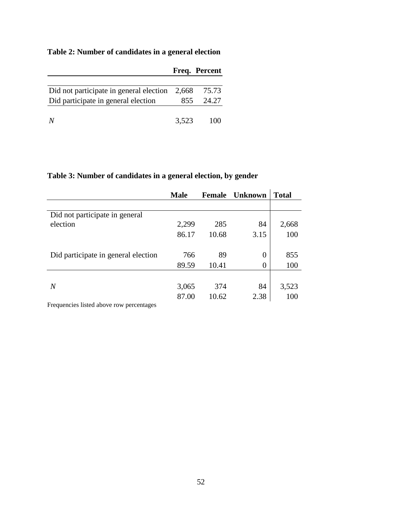# **Table 2: Number of candidates in a general election**

|                                                 |       | Freq. Percent |
|-------------------------------------------------|-------|---------------|
| Did not participate in general election $2,668$ |       | 75.73         |
| Did participate in general election             | 855   | 24.27         |
|                                                 | 3,523 | 10O           |

# **Table 3: Number of candidates in a general election, by gender**

|                                     | <b>Male</b> | <b>Female</b> | <b>Unknown</b> | <b>Total</b> |
|-------------------------------------|-------------|---------------|----------------|--------------|
|                                     |             |               |                |              |
| Did not participate in general      |             |               |                |              |
| election                            | 2,299       | 285           | 84             | 2,668        |
|                                     | 86.17       | 10.68         | 3.15           | 100          |
|                                     |             |               |                |              |
| Did participate in general election | 766         | 89            | $\overline{0}$ | 855          |
|                                     | 89.59       | 10.41         | 0              | 100          |
|                                     |             |               |                |              |
| $\overline{N}$                      | 3,065       | 374           | 84             | 3,523        |
|                                     | 87.00       | 10.62         | 2.38           | 100          |
|                                     |             |               |                |              |

Frequencies listed above row percentages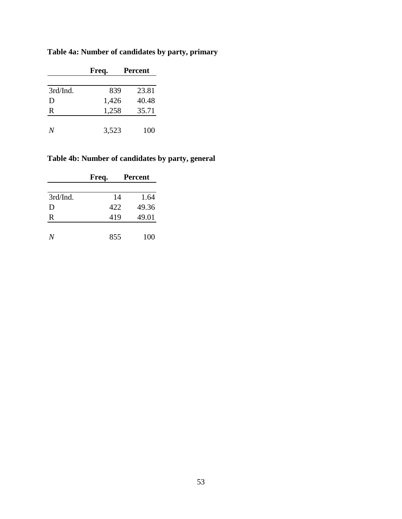|          | Freq. | <b>Percent</b> |
|----------|-------|----------------|
|          |       |                |
| 3rd/Ind. | 839   | 23.81          |
| D        | 1,426 | 40.48          |
| R        | 1,258 | 35.71          |
|          |       |                |
|          | 3,523 | 100            |

# **Table 4a: Number of candidates by party, primary**

# **Table 4b: Number of candidates by party, general**

|          | Freq. | <b>Percent</b> |
|----------|-------|----------------|
|          |       |                |
| 3rd/Ind. | 14    | 1.64           |
| D        | 422   | 49.36          |
| R        | 419   | 49.01          |
|          |       |                |
| N        | 855   | 100            |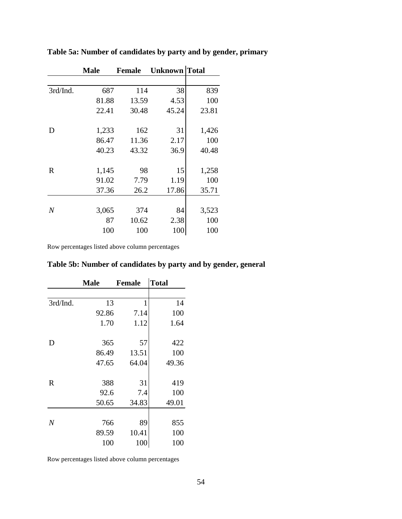|                | <b>Male</b> | <b>Female</b> | <b>Unknown</b> Total |       |
|----------------|-------------|---------------|----------------------|-------|
|                |             |               |                      |       |
| 3rd/Ind.       | 687         | 114           | 38                   | 839   |
|                | 81.88       | 13.59         | 4.53                 | 100   |
|                | 22.41       | 30.48         | 45.24                | 23.81 |
|                |             |               |                      |       |
| D              | 1,233       | 162           | 31                   | 1,426 |
|                | 86.47       | 11.36         | 2.17                 | 100   |
|                | 40.23       | 43.32         | 36.9                 | 40.48 |
|                |             |               |                      |       |
| R              | 1,145       | 98            | 15                   | 1,258 |
|                | 91.02       | 7.79          | 1.19                 | 100   |
|                | 37.36       | 26.2          | 17.86                | 35.71 |
|                |             |               |                      |       |
| $\overline{N}$ | 3,065       | 374           | 84                   | 3,523 |
|                | 87          | 10.62         | 2.38                 | 100   |
|                | 100         | 100           | 100                  | 100   |

**Table 5a: Number of candidates by party and by gender, primary**

Row percentages listed above column percentages

| Table 5b: Number of candidates by party and by gender, general |
|----------------------------------------------------------------|
|----------------------------------------------------------------|

|                | <b>Male</b> | <b>Female</b> | <b>Total</b> |
|----------------|-------------|---------------|--------------|
|                |             |               |              |
| 3rd/Ind.       | 13          | 1             | 14           |
|                | 92.86       | 7.14          | 100          |
|                | 1.70        | 1.12          | 1.64         |
|                |             |               |              |
| D              | 365         | 57            | 422          |
|                | 86.49       | 13.51         | 100          |
|                | 47.65       | 64.04         | 49.36        |
|                |             |               |              |
| $\mathbf R$    | 388         | 31            | 419          |
|                | 92.6        | 7.4           | 100          |
|                | 50.65       | 34.83         | 49.01        |
|                |             |               |              |
| $\overline{N}$ | 766         | 89            | 855          |
|                | 89.59       | 10.41         | 100          |
|                | 100         | 100           | 100          |

Row percentages listed above column percentages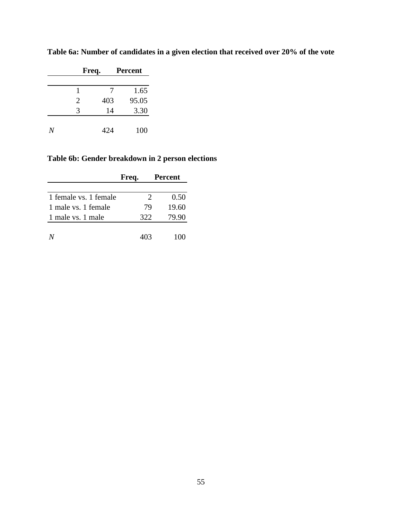|                | Freq. | <b>Percent</b> |
|----------------|-------|----------------|
|                |       |                |
| 1              | 7     | 1.65           |
| $\overline{2}$ | 403   | 95.05          |
| 3              | 14    | 3.30           |
|                |       |                |
|                | 424   | 100            |

**Table 6a: Number of candidates in a given election that received over 20% of the vote**

# **Table 6b: Gender breakdown in 2 person elections**

|                       | Freq.                 | <b>Percent</b> |
|-----------------------|-----------------------|----------------|
|                       |                       |                |
| 1 female vs. 1 female | $\mathcal{D}_{\cdot}$ | 0.50           |
| 1 male vs. 1 female   | 79                    | 19.60          |
| 1 male vs. 1 male     | 322                   | 79.90          |
|                       |                       |                |
|                       | 403                   | 100            |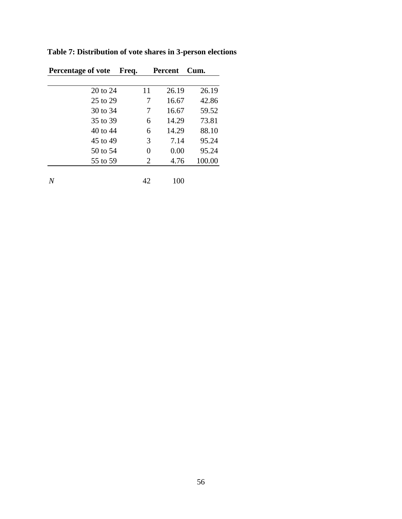| <b>Percentage of vote</b> | Freq. | <b>Percent</b> | Cum.   |
|---------------------------|-------|----------------|--------|
|                           |       |                |        |
| 20 to 24                  | 11    | 26.19          | 26.19  |
| 25 to 29                  |       | 16.67          | 42.86  |
| 30 to 34                  | 7     | 16.67          | 59.52  |
| 35 to 39                  | 6     | 14.29          | 73.81  |
| 40 to 44                  | 6     | 14.29          | 88.10  |
| 45 to 49                  | 3     | 7.14           | 95.24  |
| 50 to 54                  | 0     | 0.00           | 95.24  |
| 55 to 59                  | 2     | 4.76           | 100.00 |
|                           |       |                |        |
| N                         | 42    | 100            |        |

**Table 7: Distribution of vote shares in 3-person elections**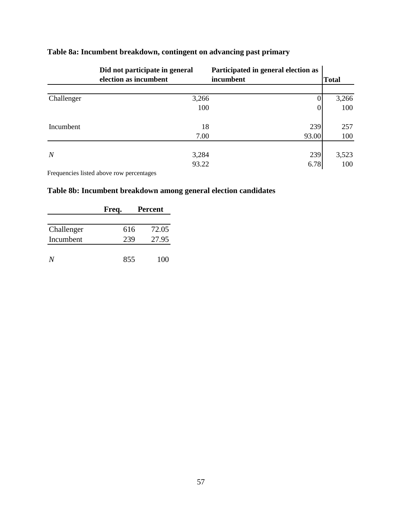|                | Did not participate in general | Participated in general election as |              |
|----------------|--------------------------------|-------------------------------------|--------------|
|                | election as incumbent          | incumbent                           | <b>Total</b> |
|                |                                |                                     |              |
| Challenger     | 3,266                          | 0                                   | 3,266        |
|                | 100                            | 0                                   | 100          |
| Incumbent      | 18                             | 239                                 | 257          |
|                | 7.00                           | 93.00                               | 100          |
|                |                                |                                     |              |
| $\overline{N}$ | 3,284                          | 239                                 | 3,523        |
|                | 93.22                          | 6.78                                | 100          |

# **Table 8a: Incumbent breakdown, contingent on advancing past primary**

Frequencies listed above row percentages

# **Table 8b: Incumbent breakdown among general election candidates**

|            | Freq. | <b>Percent</b> |
|------------|-------|----------------|
|            |       |                |
| Challenger | 616   | 72.05          |
| Incumbent  | 239   | 27.95          |
|            |       |                |
| N/         | 855   | 100            |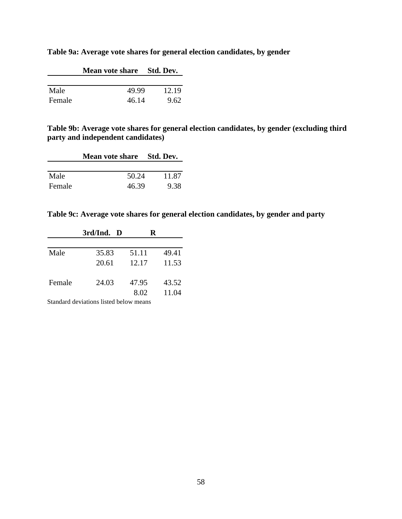|        | Mean vote share Std. Dev. |       |
|--------|---------------------------|-------|
|        |                           |       |
| Male   | 49.99                     | 12.19 |
| Female | 46.14                     | 9.62  |

**Table 9a: Average vote shares for general election candidates, by gender**

**Table 9b: Average vote shares for general election candidates, by gender (excluding third party and independent candidates)**

|        | Mean vote share Std. Dev. |       |
|--------|---------------------------|-------|
|        |                           |       |
| Male   | 50.24                     | 11.87 |
| Female | 46.39                     | 9.38  |

**Table 9c: Average vote shares for general election candidates, by gender and party**

|        | 3rd/Ind. D                             | R     |       |
|--------|----------------------------------------|-------|-------|
|        |                                        |       |       |
| Male   | 35.83                                  | 51.11 | 49.41 |
|        | 20.61                                  | 12.17 | 11.53 |
| Female | 24.03                                  | 47.95 | 43.52 |
|        |                                        | 8.02  | 11.04 |
|        | Standard deviations listed below means |       |       |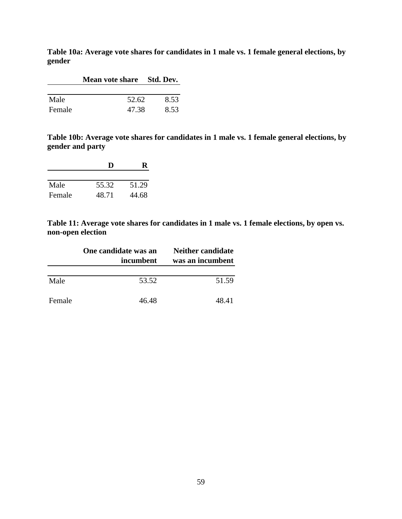**Table 10a: Average vote shares for candidates in 1 male vs. 1 female general elections, by gender**

|        | Mean vote share Std. Dev. |      |
|--------|---------------------------|------|
|        |                           |      |
| Male   | 52.62                     | 8.53 |
| Female | 47.38                     | 8.53 |

**Table 10b: Average vote shares for candidates in 1 male vs. 1 female general elections, by gender and party**

|        | D     |       |
|--------|-------|-------|
|        |       |       |
| Male   | 55.32 | 51.29 |
| Female | 48.71 | 44.68 |

**Table 11: Average vote shares for candidates in 1 male vs. 1 female elections, by open vs. non-open election**

|        | One candidate was an<br>incumbent | <b>Neither candidate</b><br>was an incumbent |
|--------|-----------------------------------|----------------------------------------------|
| Male   | 53.52                             | 51.59                                        |
| Female | 46.48                             | 48.41                                        |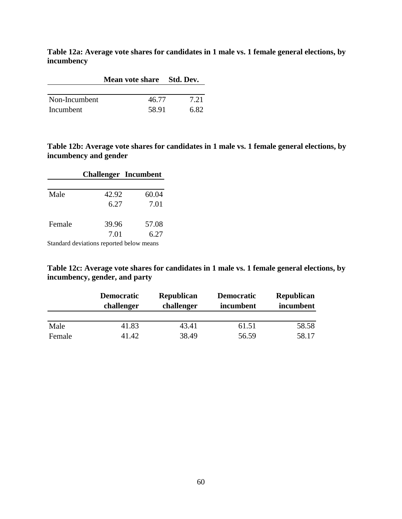**Table 12a: Average vote shares for candidates in 1 male vs. 1 female general elections, by incumbency**

|               | Mean vote share Std. Dev. |      |  |
|---------------|---------------------------|------|--|
|               |                           |      |  |
| Non-Incumbent | 46.77                     | 7.21 |  |
| Incumbent     | 58.91                     | 6.82 |  |

**Table 12b: Average vote shares for candidates in 1 male vs. 1 female general elections, by incumbency and gender**

|        | <b>Challenger Incumbent</b> |       |
|--------|-----------------------------|-------|
|        |                             |       |
| Male   | 42.92                       | 60.04 |
|        | 6.27                        | 7.01  |
| Female | 39.96                       | 57.08 |
|        | 7.01                        | 6.27  |

Standard deviations reported below means

| Table 12c: Average vote shares for candidates in 1 male vs. 1 female general elections, by |  |
|--------------------------------------------------------------------------------------------|--|
| incumbency, gender, and party                                                              |  |

|        | <b>Democratic</b><br>challenger | <b>Republican</b><br>challenger | <b>Democratic</b><br>incumbent | <b>Republican</b><br>incumbent |
|--------|---------------------------------|---------------------------------|--------------------------------|--------------------------------|
| Male   | 41.83                           | 43.41                           | 61.51                          | 58.58                          |
| Female | 41.42                           | 38.49                           | 56.59                          | 58.17                          |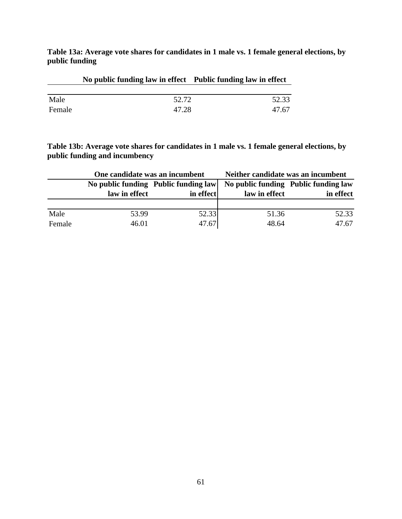**Table 13a: Average vote shares for candidates in 1 male vs. 1 female general elections, by public funding**

|        | No public funding law in effect Public funding law in effect |       |
|--------|--------------------------------------------------------------|-------|
|        |                                                              |       |
| Male   | 52.72                                                        | 52.33 |
| Female | 47.28                                                        | 47.67 |

**Table 13b: Average vote shares for candidates in 1 male vs. 1 female general elections, by public funding and incumbency**

|        | One candidate was an incumbent |                                      | Neither candidate was an incumbent |                                      |  |  |
|--------|--------------------------------|--------------------------------------|------------------------------------|--------------------------------------|--|--|
|        |                                | No public funding Public funding law |                                    | No public funding Public funding law |  |  |
|        | law in effect                  | in effect                            | law in effect                      | in effect                            |  |  |
|        |                                |                                      |                                    |                                      |  |  |
| Male   | 53.99                          | 52.33                                | 51.36                              | 52.33                                |  |  |
| Female | 46.01                          | 47.67                                | 48.64                              | 47.67                                |  |  |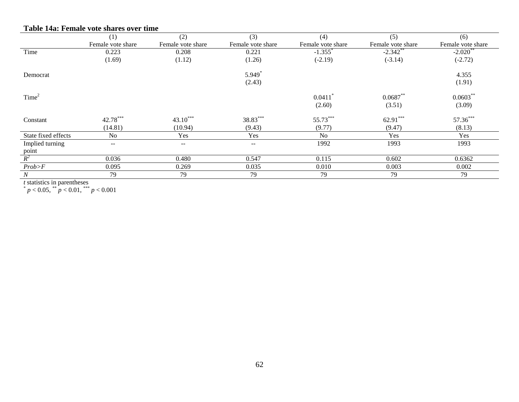| Table 14a: Female vote shares over time |                   |                   |                      |                       |                   |                        |  |  |  |
|-----------------------------------------|-------------------|-------------------|----------------------|-----------------------|-------------------|------------------------|--|--|--|
|                                         | (1)               | (2)               | (3)                  | (4)                   | (5)               | (6)                    |  |  |  |
|                                         | Female vote share | Female vote share | Female vote share    | Female vote share     | Female vote share | Female vote share      |  |  |  |
| Time                                    | 0.223             | 0.208             | 0.221                | $-1.355$ <sup>*</sup> | $-2.342$ **       | $-2.020$ <sup>**</sup> |  |  |  |
|                                         | (1.69)            | (1.12)            | (1.26)               | $(-2.19)$             | $(-3.14)$         | $(-2.72)$              |  |  |  |
| Democrat                                |                   |                   | $5.949$ <sup>*</sup> |                       |                   | 4.355                  |  |  |  |
|                                         |                   |                   | (2.43)               |                       |                   | (1.91)                 |  |  |  |
| Time <sup>2</sup>                       |                   |                   |                      | $0.0411$ <sup>*</sup> | $0.0687**$        | $0.0603**$             |  |  |  |
|                                         |                   |                   |                      | (2.60)                | (3.51)            | (3.09)                 |  |  |  |
| Constant                                | 42.78***          | $43.10***$        | 38.83***             | 55.73***              | $62.91***$        | 57.36***               |  |  |  |
|                                         | (14.81)           | (10.94)           | (9.43)               | (9.77)                | (9.47)            | (8.13)                 |  |  |  |
| State fixed effects                     | No                | Yes               | Yes                  | N <sub>o</sub>        | Yes               | Yes                    |  |  |  |
| Implied turning                         | $--$              | $\qquad \qquad -$ | $\sim$ $\sim$        | 1992                  | 1993              | 1993                   |  |  |  |
| point                                   |                   |                   |                      |                       |                   |                        |  |  |  |
| $R^2$                                   | 0.036             | 0.480             | 0.547                | 0.115                 | 0.602             | 0.6362                 |  |  |  |
| Prob > F                                | 0.095             | 0.269             | 0.035                | 0.010                 | 0.003             | 0.002                  |  |  |  |
| N                                       | 79                | 79                | 79                   | 79                    | 79                | 79                     |  |  |  |

*t* statistics in parentheses<br>  $p < 0.05$ ,  $\binom{**}{p} < 0.01$ ,  $\binom{***}{p} < 0.001$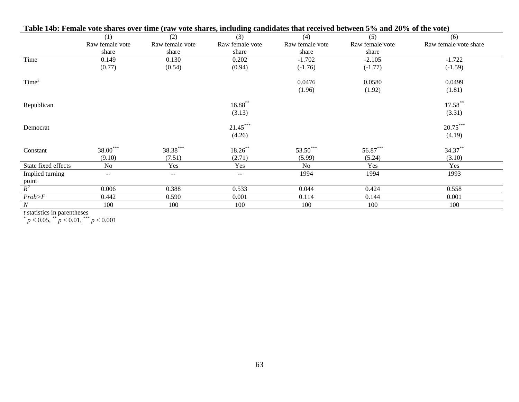|                            | (1)               | (2)               | (3)               | (4)             | (5)             | (6)                   |
|----------------------------|-------------------|-------------------|-------------------|-----------------|-----------------|-----------------------|
|                            | Raw female vote   | Raw female vote   | Raw female vote   | Raw female vote | Raw female vote | Raw female vote share |
|                            | share             | share             | share             | share           | share           |                       |
| Time                       | 0.149             | 0.130             | 0.202             | $-1.702$        | $-2.105$        | $-1.722$              |
|                            | (0.77)            | (0.54)            | (0.94)            | $(-1.76)$       | $(-1.77)$       | $(-1.59)$             |
| Time <sup>2</sup>          |                   |                   |                   | 0.0476          | 0.0580          | 0.0499                |
|                            |                   |                   |                   | (1.96)          | (1.92)          | (1.81)                |
| Republican                 |                   |                   | $16.88***$        |                 |                 | $17.58***$            |
|                            |                   |                   | (3.13)            |                 |                 | (3.31)                |
| Democrat                   |                   |                   | $21.45***$        |                 |                 | $20.75***$            |
|                            |                   |                   | (4.26)            |                 |                 | (4.19)                |
| Constant                   | $38.00***$        | 38.38***          | $18.26***$        | 53.50***        | 56.87***        | 34.37**               |
|                            | (9.10)            | (7.51)            | (2.71)            | (5.99)          | (5.24)          | (3.10)                |
| State fixed effects        | No                | Yes               | Yes               | N <sub>o</sub>  | Yes             | Yes                   |
| Implied turning            | $\qquad \qquad -$ | $\qquad \qquad -$ | $\qquad \qquad -$ | 1994            | 1994            | 1993                  |
|                            |                   |                   |                   |                 |                 |                       |
| $\frac{\text{point}}{R^2}$ | 0.006             | 0.388             | 0.533             | 0.044           | 0.424           | 0.558                 |
| Prob>F                     | 0.442             | 0.590             | 0.001             | 0.114           | 0.144           | 0.001                 |
| N                          | 100               | 100               | 100               | 100             | 100             | 100                   |

|  |  |  |  |  | Table 14b: Female vote shares over time (raw vote shares, including candidates that received between 5% and 20% of the vote) |  |  |  |  |
|--|--|--|--|--|------------------------------------------------------------------------------------------------------------------------------|--|--|--|--|
|  |  |  |  |  |                                                                                                                              |  |  |  |  |

*t* statistics in parentheses<br>  $p < 0.05$ ,  $p < 0.01$ ,  $p < 0.001$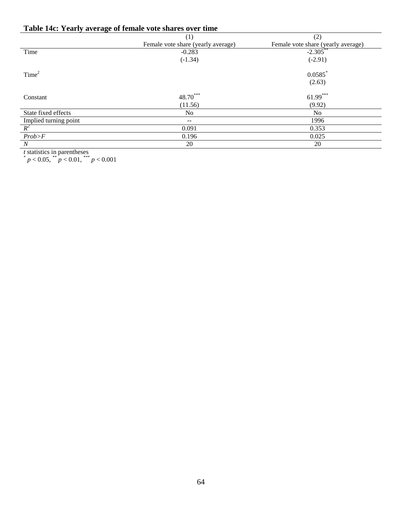# **Table 14c: Yearly average of female vote shares over time**

|                       | (1)                                | (2)                                |
|-----------------------|------------------------------------|------------------------------------|
|                       | Female vote share (yearly average) | Female vote share (yearly average) |
| Time                  | $-0.283$                           | $-2.305$ **                        |
|                       | $(-1.34)$                          | $(-2.91)$                          |
| Time <sup>2</sup>     |                                    | $0.0585$ *                         |
|                       |                                    | (2.63)                             |
| Constant              | 48.70***                           | $61.99***$                         |
|                       | (11.56)                            | (9.92)                             |
| State fixed effects   | No                                 | N <sub>o</sub>                     |
|                       | $- -$                              | 1996                               |
| Implied turning point | 0.091                              | 0.353                              |
| Prob>F                | 0.196                              | 0.025                              |
| $\boldsymbol{N}$      | 20                                 | 20                                 |

*t* statistics in parentheses<br>  $p < 0.05$ ,  $^{**} p < 0.01$ ,  $^{***} p < 0.001$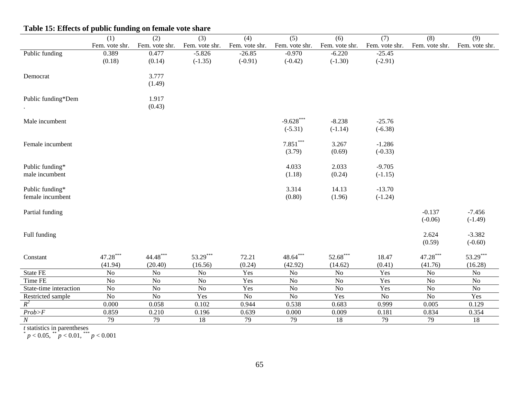|                        | (1)            | (2)            | (3)            | (4)            | (5)            | (6)             | (7)            | (8)            | (9)            |
|------------------------|----------------|----------------|----------------|----------------|----------------|-----------------|----------------|----------------|----------------|
|                        | Fem. vote shr. | Fem. vote shr. | Fem. vote shr. | Fem. vote shr. | Fem. vote shr. | Fem. vote shr.  | Fem. vote shr. | Fem. vote shr. | Fem. vote shr. |
| Public funding         | 0.389          | 0.477          | $-5.826$       | $-26.85$       | $-0.970$       | $-6.220$        | $-25.45$       |                |                |
|                        | (0.18)         | (0.14)         | $(-1.35)$      | $(-0.91)$      | $(-0.42)$      | $(-1.30)$       | $(-2.91)$      |                |                |
| Democrat               |                | 3.777          |                |                |                |                 |                |                |                |
|                        |                | (1.49)         |                |                |                |                 |                |                |                |
|                        |                |                |                |                |                |                 |                |                |                |
| Public funding*Dem     |                | 1.917          |                |                |                |                 |                |                |                |
|                        |                | (0.43)         |                |                |                |                 |                |                |                |
|                        |                |                |                |                |                |                 |                |                |                |
| Male incumbent         |                |                |                |                | $-9.628***$    | $-8.238$        | $-25.76$       |                |                |
|                        |                |                |                |                | $(-5.31)$      | $(-1.14)$       | $(-6.38)$      |                |                |
| Female incumbent       |                |                |                |                | $7.851***$     | 3.267           | $-1.286$       |                |                |
|                        |                |                |                |                | (3.79)         | (0.69)          | $(-0.33)$      |                |                |
|                        |                |                |                |                |                |                 |                |                |                |
| Public funding*        |                |                |                |                | 4.033          | 2.033           | $-9.705$       |                |                |
| male incumbent         |                |                |                |                | (1.18)         | (0.24)          | $(-1.15)$      |                |                |
|                        |                |                |                |                |                |                 |                |                |                |
| Public funding*        |                |                |                |                | 3.314          | 14.13           | $-13.70$       |                |                |
| female incumbent       |                |                |                |                | (0.80)         | (1.96)          | $(-1.24)$      |                |                |
|                        |                |                |                |                |                |                 |                |                |                |
| Partial funding        |                |                |                |                |                |                 |                | $-0.137$       | $-7.456$       |
|                        |                |                |                |                |                |                 |                | $(-0.06)$      | $(-1.49)$      |
| Full funding           |                |                |                |                |                |                 |                | 2.624          | $-3.382$       |
|                        |                |                |                |                |                |                 |                | (0.59)         | $(-0.60)$      |
|                        |                |                |                |                |                |                 |                |                |                |
| Constant               | $47.28***$     | $44.48***$     | $53.29***$     | 72.21          | $48.64***$     | $52.68***$      | 18.47          | $47.28***$     | 53.29***       |
|                        | (41.94)        | (20.40)        | (16.56)        | (0.24)         | (42.92)        | (14.62)         | (0.41)         | (41.76)        | (16.28)        |
| State FE               | $\rm No$       | No             | $\rm No$       | Yes            | N <sub>o</sub> | $\rm No$        | Yes            | $\rm No$       | N <sub>o</sub> |
| Time FE                | $\rm No$       | $\rm No$       | No             | Yes            | No             | $\rm No$        | Yes            | $\rm No$       | $\rm No$       |
| State-time interaction | $\rm No$       | No             | No             | Yes            | No             | $\rm No$        | Yes            | $\rm No$       | N <sub>o</sub> |
| Restricted sample      | $\rm No$       | $\rm No$       | Yes            | $\rm No$       | N <sub>o</sub> | Yes             | N <sub>o</sub> | $\rm No$       | Yes            |
| $R^2$                  | 0.000          | 0.058          | 0.102          | 0.944          | 0.538          | 0.683           | 0.999          | 0.005          | 0.129          |
| $Prob\!\!>\!\!F$       | 0.859          | 0.210          | 0.196          | 0.639          | 0.000          | 0.009           | 0.181          | 0.834          | 0.354          |
| $\overline{N}$         | 79             | 79             | 18             | 79             | 79             | $\overline{18}$ | 79             | 79             | 18             |

# **Table 15: Effects of public funding on female vote share**

*t* statistics in parentheses<br>  $p < 0.05$ ,  $^{**} p < 0.01$ ,  $^{***} p < 0.001$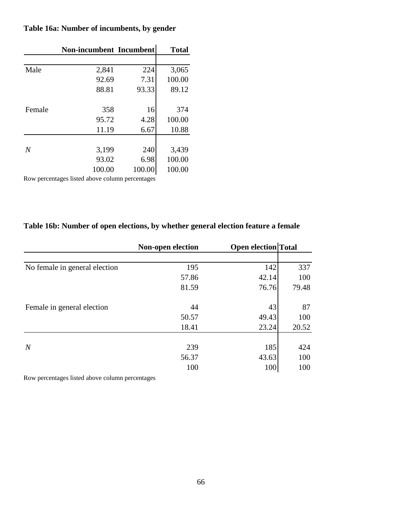|                | Non-incumbent Incumbent |        | <b>Total</b> |
|----------------|-------------------------|--------|--------------|
|                |                         |        |              |
| Male           | 2,841                   | 224    | 3,065        |
|                | 92.69                   | 7.31   | 100.00       |
|                | 88.81                   | 93.33  | 89.12        |
| Female         | 358                     | 16     | 374          |
|                | 95.72                   | 4.28   | 100.00       |
|                | 11.19                   | 6.67   | 10.88        |
|                |                         |        |              |
| $\overline{N}$ | 3,199                   | 240    | 3,439        |
|                | 93.02                   | 6.98   | 100.00       |
|                | 100.00                  | 100.00 | 100.00       |
|                |                         |        |              |

# **Table 16a: Number of incumbents, by gender**

Row percentages listed above column percentages

# **Table 16b: Number of open elections, by whether general election feature a female**

|                               | Non-open election | <b>Open election Total</b> |       |
|-------------------------------|-------------------|----------------------------|-------|
|                               |                   |                            |       |
| No female in general election | 195               | 142                        | 337   |
|                               | 57.86             | 42.14                      | 100   |
|                               | 81.59             | 76.76                      | 79.48 |
| Female in general election    | 44                | 43                         | 87    |
|                               | 50.57             | 49.43                      | 100   |
|                               | 18.41             | 23.24                      | 20.52 |
|                               |                   |                            |       |
| $\overline{N}$                | 239               | 185                        | 424   |
|                               | 56.37             | 43.63                      | 100   |
|                               | 100               | 100                        | 100   |

Row percentages listed above column percentages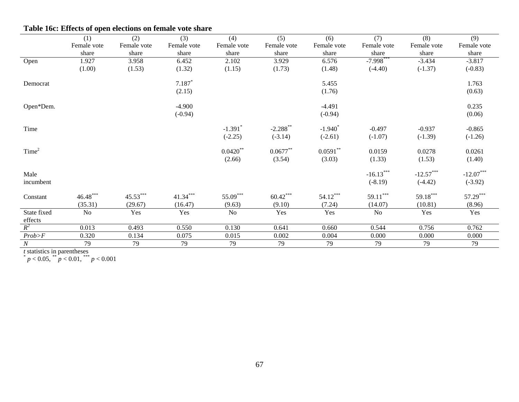|                        | (1)         | (2)         | (3)         | (4)                   | (5)                    | (6)                   | (7)            | (8)         | (9)         |
|------------------------|-------------|-------------|-------------|-----------------------|------------------------|-----------------------|----------------|-------------|-------------|
|                        | Female vote | Female vote | Female vote | Female vote           | Female vote            | Female vote           | Female vote    | Female vote | Female vote |
|                        | share       | share       | share       | share                 | share                  | share                 | share          | share       | share       |
| Open                   | 1.927       | 3.958       | 6.452       | 2.102                 | 3.929                  | 6.576                 | $-7.998***$    | $-3.434$    | $-3.817$    |
|                        | (1.00)      | (1.53)      | (1.32)      | (1.15)                | (1.73)                 | (1.48)                | $(-4.40)$      | $(-1.37)$   | $(-0.83)$   |
| Democrat               |             |             | $7.187*$    |                       |                        | 5.455                 |                |             | 1.763       |
|                        |             |             | (2.15)      |                       |                        | (1.76)                |                |             | (0.63)      |
| Open*Dem.              |             |             | $-4.900$    |                       |                        | $-4.491$              |                |             | 0.235       |
|                        |             |             | $(-0.94)$   |                       |                        | $(-0.94)$             |                |             | (0.06)      |
| Time                   |             |             |             | $-1.391$ <sup>*</sup> | $-2.288$ <sup>**</sup> | $-1.940$ <sup>*</sup> | $-0.497$       | $-0.937$    | $-0.865$    |
|                        |             |             |             | $(-2.25)$             | $(-3.14)$              | $(-2.61)$             | $(-1.07)$      | $(-1.39)$   | $(-1.26)$   |
| Time <sup>2</sup>      |             |             |             | $0.0420**$            | $0.0677***$            | $0.0591**$            | 0.0159         | 0.0278      | 0.0261      |
|                        |             |             |             | (2.66)                | (3.54)                 | (3.03)                | (1.33)         | (1.53)      | (1.40)      |
| Male                   |             |             |             |                       |                        |                       | $-16.13***$    | $-12.57***$ | $-12.07***$ |
| incumbent              |             |             |             |                       |                        |                       | $(-8.19)$      | $(-4.42)$   | $(-3.92)$   |
| Constant               | $46.48***$  | 45.53***    | $41.34***$  | 55.09***              | $60.42***$             | $54.12***$            | $59.11***$     | 59.18***    | 57.29***    |
|                        | (35.31)     | (29.67)     | (16.47)     | (9.63)                | (9.10)                 | (7.24)                | (14.07)        | (10.81)     | (8.96)      |
| State fixed<br>effects | No          | Yes         | Yes         | No                    | Yes                    | Yes                   | N <sub>o</sub> | Yes         | Yes         |
| $R^2$                  | 0.013       | 0.493       | 0.550       | 0.130                 | 0.641                  | 0.660                 | 0.544          | 0.756       | 0.762       |
| $Prob\!\!>\!\!F$       | 0.320       | 0.134       | 0.075       | 0.015                 | 0.002                  | 0.004                 | 0.000          | 0.000       | 0.000       |
| N                      |             |             |             |                       |                        |                       |                |             |             |
|                        | 79          | 79          | 79          | 79                    | 79                     | 79                    | 79             | 79          | 79          |

# **Table 16c: Effects of open elections on female vote share**

*t* statistics in parentheses<br>  $p < 0.05$ ,  $^{**} p < 0.01$ ,  $^{***} p < 0.001$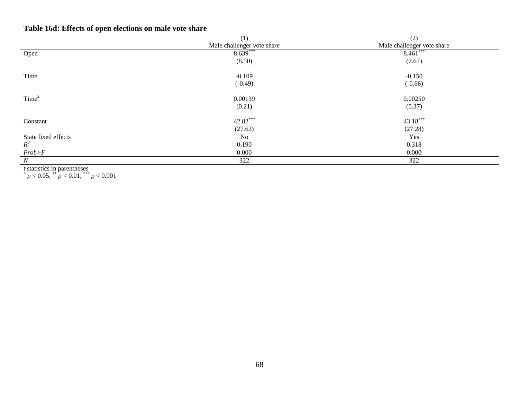# **Table 16d: Effects of open elections on male vote share**

|                     | (1)                        | (2)                        |
|---------------------|----------------------------|----------------------------|
|                     | Male challenger vote share | Male challenger vote share |
| Open                | $8.639***$                 | $8.461***$                 |
|                     | (8.50)                     | (7.67)                     |
| Time                | $-0.109$                   | $-0.150$                   |
|                     | $(-0.49)$                  | $(-0.66)$                  |
| Time <sup>2</sup>   | 0.00139                    | 0.00250                    |
|                     | (0.21)                     | (0.37)                     |
| Constant            | 42.82***                   | $43.18***$                 |
|                     | (27.62)                    | (27.28)                    |
| State fixed effects | N <sub>o</sub>             | Yes                        |
| $R^2$               | 0.190                      | 0.318                      |
| Prob>F              | 0.000                      | 0.000                      |
| N                   | 322                        | 322                        |

*t* statistics in parentheses<br>  $p < 0.05$ ,  $p < 0.01$ ,  $p < 0.001$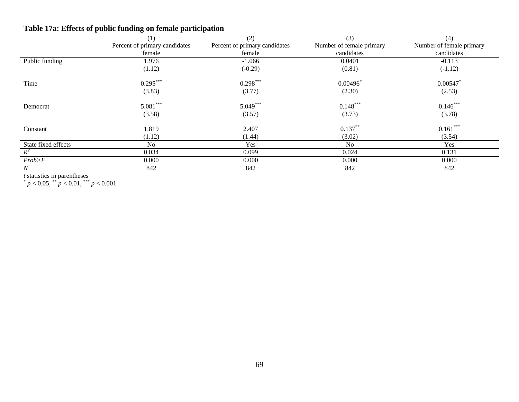|                     | $\overline{\phantom{a}}$<br>$\tilde{}$<br>$\overline{\phantom{a}}$ |                               |                          |                          |
|---------------------|--------------------------------------------------------------------|-------------------------------|--------------------------|--------------------------|
|                     | (1)                                                                | (2)                           | (3)                      | (4)                      |
|                     | Percent of primary candidates                                      | Percent of primary candidates | Number of female primary | Number of female primary |
|                     | female                                                             | female                        | candidates               | candidates               |
| Public funding      | 1.976                                                              | $-1.066$                      | 0.0401                   | $-0.113$                 |
|                     | (1.12)                                                             | $(-0.29)$                     | (0.81)                   | $(-1.12)$                |
| Time                | $0.295***$                                                         | $0.298***$                    | 0.00496                  | 0.00547                  |
|                     | (3.83)                                                             | (3.77)                        | (2.30)                   | (2.53)                   |
| Democrat            | $5.081***$                                                         | $5.049***$                    | $0.148***$               | $0.146***$               |
|                     | (3.58)                                                             | (3.57)                        | (3.73)                   | (3.78)                   |
| Constant            | 1.819                                                              | 2.407                         | $0.137**$                | $0.161***$               |
|                     | (1.12)                                                             | (1.44)                        | (3.02)                   | (3.54)                   |
| State fixed effects | N <sub>0</sub>                                                     | Yes                           | N <sub>0</sub>           | Yes                      |
| $R^2$               | 0.034                                                              | 0.099                         | 0.024                    | 0.131                    |
| Prob>F              | 0.000                                                              | 0.000                         | 0.000                    | 0.000                    |
| $\boldsymbol{N}$    | 842                                                                | 842                           | 842                      | 842                      |

# **Table 17a: Effects of public funding on female participation**

*t* statistics in parentheses<br>  $p < 0.05$ ,  $\binom{**}{p} < 0.01$ ,  $\binom{***}{p} < 0.001$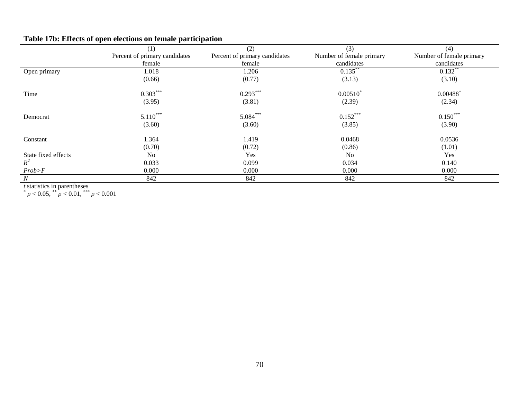# **Table 17b: Effects of open elections on female participation**

|                     | (1)                           | (2)                           | (3)                      | (4)                      |
|---------------------|-------------------------------|-------------------------------|--------------------------|--------------------------|
|                     | Percent of primary candidates | Percent of primary candidates | Number of female primary | Number of female primary |
|                     | female                        | female                        | candidates               | candidates               |
| Open primary        | 1.018                         | 1.206                         | $0.135$ **               | $0.132$ **               |
|                     | (0.66)                        | (0.77)                        | (3.13)                   | (3.10)                   |
| Time                | $0.303***$                    | $0.293***$                    | $0.00510^*$              | $0.00488$ <sup>*</sup>   |
|                     | (3.95)                        | (3.81)                        | (2.39)                   | (2.34)                   |
| Democrat            | $5.110***$                    | $5.084***$                    | $0.152***$               | $0.150***$               |
|                     | (3.60)                        | (3.60)                        | (3.85)                   | (3.90)                   |
| Constant            | 1.364                         | 1.419                         | 0.0468                   | 0.0536                   |
|                     | (0.70)                        | (0.72)                        | (0.86)                   | (1.01)                   |
| State fixed effects | <b>No</b>                     | Yes                           | N <sub>o</sub>           | Yes                      |
| $R^2$               | 0.033                         | 0.099                         | 0.034                    | 0.140                    |
| Prob > F            | 0.000                         | 0.000                         | 0.000                    | 0.000                    |
| N                   | 842                           | 842                           | 842                      | 842                      |

*t* statistics in parentheses<br>  $p < 0.05$ ,  $p < 0.01$ ,  $p < 0.001$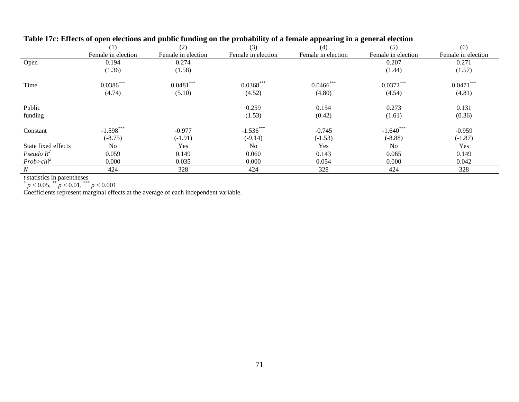| Table 17C. Effects of open elections and public funding on the probability of a female appearing in a general election |                    |                    |                    |                    |                    |                    |
|------------------------------------------------------------------------------------------------------------------------|--------------------|--------------------|--------------------|--------------------|--------------------|--------------------|
|                                                                                                                        | (1)                | (2)                | (3)                | (4)                | (5)                | (6)                |
|                                                                                                                        | Female in election | Female in election | Female in election | Female in election | Female in election | Female in election |
| Open                                                                                                                   | 0.194              | 0.274              |                    |                    | 0.207              | 0.271              |
|                                                                                                                        | (1.36)             | (1.58)             |                    |                    | (1.44)             | (1.57)             |
| Time                                                                                                                   | $0.0386***$        | $0.0481***$        | $0.0368***$        | $0.0466$ ***       | $0.0372***$        | $0.0471***$        |
|                                                                                                                        | (4.74)             | (5.10)             | (4.52)             | (4.80)             | (4.54)             | (4.81)             |
| Public                                                                                                                 |                    |                    | 0.259              | 0.154              | 0.273              | 0.131              |
| funding                                                                                                                |                    |                    | (1.53)             | (0.42)             | (1.61)             | (0.36)             |
| Constant                                                                                                               | $-1.598***$        | $-0.977$           | $-1.536***$        | $-0.745$           | $-1.640***$        | $-0.959$           |
|                                                                                                                        | $(-8.75)$          | $(-1.91)$          | $(-9.14)$          | $(-1.53)$          | $(-8.88)$          | $(-1.87)$          |
| State fixed effects                                                                                                    | No.                | Yes                | No.                | Yes                | No.                | Yes                |
| Pseudo $R^2$                                                                                                           | 0.059              | 0.149              | 0.060              | 0.143              | 0.065              | 0.149              |
| $Prob>chi^2$                                                                                                           | 0.000              | 0.035              | 0.000              | 0.054              | 0.000              | 0.042              |
| N                                                                                                                      | 424                | 328                | 424                | 328                | 424                | 328                |

## **Table 17c: Effects of open elections and public funding on the probability of a female appearing in a general election**

*t* statistics in parentheses<br>  $p < 0.05$ ,  $^{**} p < 0.01$ ,  $^{***} p < 0.001$ 

Coefficients represent marginal effects at the average of each independent variable.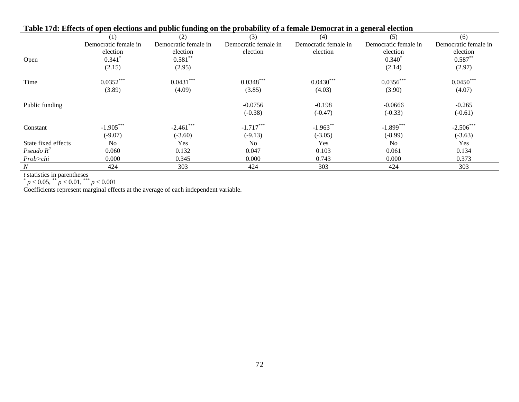| Table 17u. Effects of open electrons and public funding on the probability of a female Democrat in a general electron |                      |                      |                      |                      |                      |                      |
|-----------------------------------------------------------------------------------------------------------------------|----------------------|----------------------|----------------------|----------------------|----------------------|----------------------|
|                                                                                                                       | (1)                  | (2)                  | (3)                  | (4)                  | (5)                  | (6)                  |
|                                                                                                                       | Democratic female in | Democratic female in | Democratic female in | Democratic female in | Democratic female in | Democratic female in |
|                                                                                                                       | election             | election             | election             | election             | election             | election             |
| Open                                                                                                                  | 0.341                | $0.581^{*}$          |                      |                      | $0.340^{\degree}$    | 0.587                |
|                                                                                                                       | (2.15)               | (2.95)               |                      |                      | (2.14)               | (2.97)               |
| Time                                                                                                                  | $0.0352***$          | $0.0431***$          | $0.0348***$          | $0.0430***$          | $0.0356***$          | $0.0450***$          |
|                                                                                                                       | (3.89)               | (4.09)               | (3.85)               | (4.03)               | (3.90)               | (4.07)               |
| Public funding                                                                                                        |                      |                      | $-0.0756$            | $-0.198$             | $-0.0666$            | $-0.265$             |
|                                                                                                                       |                      |                      | $(-0.38)$            | $(-0.47)$            | $(-0.33)$            | $(-0.61)$            |
| Constant                                                                                                              | $-1.905***$          | $-2.461$ ***         | $-1.717***$          | $-1.963$ **          | $-1.899***$          | $-2.506$ ***         |
|                                                                                                                       | $(-9.07)$            | $(-3.60)$            | $(-9.13)$            | $(-3.05)$            | $(-8.99)$            | $(-3.63)$            |
| State fixed effects                                                                                                   | No.                  | Yes.                 | No.                  | Yes                  | No.                  | Yes                  |
| Pseudo $R^2$                                                                                                          | 0.060                | 0.132                | 0.047                | 0.103                | 0.061                | 0.134                |
| Prob>chi                                                                                                              | 0.000                | 0.345                | 0.000                | 0.743                | 0.000                | 0.373                |
| N                                                                                                                     | 424                  | 303                  | 424                  | 303                  | 424                  | 303                  |

## **Table 17d: Effects of open elections and public funding on the probability of a female Democrat in a general election**

*t* statistics in parentheses<br>  $p < 0.05$ ,  $^{**} p < 0.01$ ,  $^{***} p < 0.001$ 

Coefficients represent marginal effects at the average of each independent variable.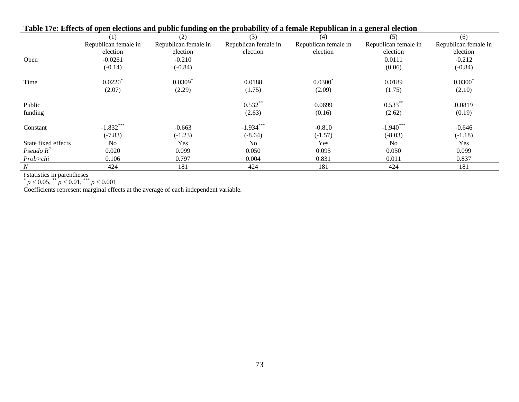| Tube Tree meets of open electrons and paisne funding on the probability of a female republicant in a general electron |                      |                       |                      |                      |                      |                      |  |
|-----------------------------------------------------------------------------------------------------------------------|----------------------|-----------------------|----------------------|----------------------|----------------------|----------------------|--|
|                                                                                                                       | (1)                  | (2)                   | (3)                  | (4)                  | (5)                  | (6)                  |  |
|                                                                                                                       | Republican female in | Republican female in  | Republican female in | Republican female in | Republican female in | Republican female in |  |
|                                                                                                                       | election             | election              | election             | election             | election             | election             |  |
| Open                                                                                                                  | $-0.0261$            | $-0.210$              |                      |                      | 0.0111               | $-0.212$             |  |
|                                                                                                                       | $(-0.14)$            | $(-0.84)$             |                      |                      | (0.06)               | $(-0.84)$            |  |
| Time                                                                                                                  | 0.0220               | $0.0309$ <sup>*</sup> | 0.0188               | $0.0300^*$           | 0.0189               | $0.0300^*$           |  |
|                                                                                                                       | (2.07)               | (2.29)                | (1.75)               | (2.09)               | (1.75)               | (2.10)               |  |
| Public                                                                                                                |                      |                       | $0.532***$           | 0.0699               | $0.533***$           | 0.0819               |  |
| funding                                                                                                               |                      |                       | (2.63)               | (0.16)               | (2.62)               | (0.19)               |  |
| Constant                                                                                                              | $-1.832***$          | $-0.663$              | $-1.934***$          | $-0.810$             | $-1.940***$          | $-0.646$             |  |
|                                                                                                                       | $(-7.83)$            | $(-1.23)$             | $(-8.64)$            | $(-1.57)$            | $(-8.03)$            | $(-1.18)$            |  |
| State fixed effects                                                                                                   | N <sub>0</sub>       | Yes                   | N <sub>o</sub>       | Yes                  | N <sub>o</sub>       | Yes                  |  |
| Pseudo $R^2$                                                                                                          | 0.020                | 0.099                 | 0.050                | 0.095                | 0.050                | 0.099                |  |
| Prob>chi                                                                                                              | 0.106                | 0.797                 | 0.004                | 0.831                | 0.011                | 0.837                |  |
| N                                                                                                                     | 424                  | 181                   | 424                  | 181                  | 424                  | 181                  |  |

#### **Table 17e: Effects of open elections and public funding on the probability of a female Republican in a general election**

*t* statistics in parentheses<br>  $p < 0.05$ ,  $^{**} p < 0.01$ ,  $^{***} p < 0.001$ 

Coefficients represent marginal effects at the average of each independent variable.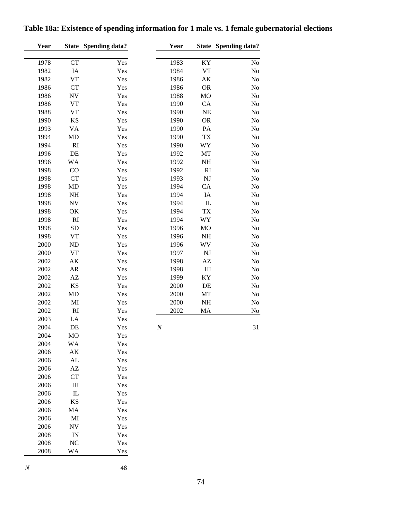| Year |                          | <b>State Spending data?</b> | Year     |              | State Spending data? |
|------|--------------------------|-----------------------------|----------|--------------|----------------------|
| 1978 | CT                       | Yes                         | 1983     | KY           | No                   |
| 1982 | $\rm IA$                 | Yes                         | 1984     | VT           | N <sub>o</sub>       |
| 1982 | <b>VT</b>                | Yes                         | 1986     | AK           | No                   |
| 1986 | CT                       | Yes                         | 1986     | <b>OR</b>    | No                   |
| 1986 | $\ensuremath{\text{NV}}$ | Yes                         | 1988     | MO           | No                   |
| 1986 | <b>VT</b>                | Yes                         | 1990     | CA           | No                   |
| 1988 | <b>VT</b>                | Yes                         | 1990     | NE           | No                   |
| 1990 | KS                       | Yes                         | 1990     | <b>OR</b>    | No                   |
| 1993 | VA                       | Yes                         | 1990     | PA           | No                   |
| 1994 | MD                       | Yes                         | 1990     | TX           | No                   |
| 1994 | RI                       | Yes                         | 1990     | WY           | N <sub>o</sub>       |
| 1996 | DE                       | Yes                         | 1992     | MT           | No                   |
| 1996 | <b>WA</b>                | Yes                         | 1992     | <b>NH</b>    | No                   |
| 1998 | CO                       | Yes                         | 1992     | RI           | No                   |
| 1998 | CT                       | Yes                         | 1993     | NJ           | No                   |
| 1998 | MD                       | Yes                         | 1994     | CA           | No                   |
| 1998 | $\rm NH$                 | Yes                         | 1994     | IA           | No                   |
| 1998 | ${\rm NV}$               | Yes                         | 1994     | ${\rm I\!L}$ | No                   |
| 1998 | OK                       | Yes                         | 1994     | <b>TX</b>    | No                   |
| 1998 | RI                       | Yes                         | 1994     | WY           | No                   |
| 1998 | <b>SD</b>                | Yes                         | 1996     | <b>MO</b>    | N <sub>o</sub>       |
| 1998 | <b>VT</b>                | Yes                         | 1996     | NH           | No                   |
| 2000 | $\rm ND$                 | Yes                         | 1996     | WV           | N <sub>o</sub>       |
| 2000 | <b>VT</b>                | Yes                         | 1997     | NJ           | N <sub>o</sub>       |
| 2002 | AK                       | Yes                         | 1998     | AZ           | N <sub>o</sub>       |
| 2002 | ${\sf AR}$               | Yes                         | 1998     | H1           | No                   |
| 2002 | $\mathbf{A}\mathbf{Z}$   | Yes                         | 1999     | KY           | No                   |
| 2002 | KS                       | Yes                         | 2000     | DE           | No                   |
| 2002 | MD                       | Yes                         | 2000     | MT           | No                   |
| 2002 | MI                       | Yes                         | 2000     | <b>NH</b>    | N <sub>o</sub>       |
| 2002 | RI                       | Yes                         | 2002     | MA           | No                   |
| 2003 | LA                       | Yes                         |          |              |                      |
| 2004 | DE                       | Yes                         | $\cal N$ |              | 31                   |
| 2004 | MO                       | Yes                         |          |              |                      |
| 2004 | WA                       | Yes                         |          |              |                      |
| 2006 | AK                       | Yes                         |          |              |                      |
| 2006 | AL                       | Yes                         |          |              |                      |
| 2006 | $\mathbf{A}\mathbf{Z}$   | Yes                         |          |              |                      |
| 2006 | CT                       | Yes                         |          |              |                      |
| 2006 | H1                       | Yes                         |          |              |                      |
| 2006 | $\rm IL$                 | Yes                         |          |              |                      |
| 2006 | KS                       | Yes                         |          |              |                      |
| 2006 | MA                       | Yes                         |          |              |                      |
| 2006 | MI                       | Yes                         |          |              |                      |
| 2006 | ${\rm NV}$               | Yes                         |          |              |                      |
| 2008 | ${\rm IN}$               | Yes                         |          |              |                      |
| 2008 | NC                       | Yes                         |          |              |                      |
| 2008 | WA                       | Yes                         |          |              |                      |
|      |                          |                             |          |              |                      |

# **Table 18a: Existence of spending information for 1 male vs. 1 female gubernatorial elections**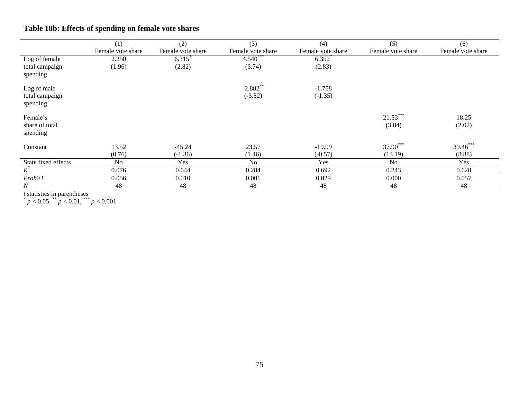|                     | (1)               | (2)               | (3)               | (4)               | (5)               | (6)               |
|---------------------|-------------------|-------------------|-------------------|-------------------|-------------------|-------------------|
|                     | Female vote share | Female vote share | Female vote share | Female vote share | Female vote share | Female vote share |
| Log of female       | 2.350             | $6.315*$          | $4.540***$        | $6.352*$          |                   |                   |
| total campaign      | (1.96)            | (2.82)            | (3.74)            | (2.83)            |                   |                   |
| spending            |                   |                   |                   |                   |                   |                   |
| Log of male         |                   |                   | $-2.882$ **       | $-1.758$          |                   |                   |
| total campaign      |                   |                   | $(-3.52)$         | $(-1.35)$         |                   |                   |
| spending            |                   |                   |                   |                   |                   |                   |
| Female's            |                   |                   |                   |                   | $21.53***$        | 18.25             |
| share of total      |                   |                   |                   |                   | (3.84)            | (2.02)            |
| spending            |                   |                   |                   |                   |                   |                   |
| Constant            | 13.52             | $-45.24$          | 23.57             | $-19.99$          | 37.90***          | 39.46***          |
|                     | (0.76)            | $(-1.36)$         | (1.46)            | $(-0.57)$         | (13.19)           | (8.88)            |
| State fixed effects | No                | Yes               | No                | Yes               | N <sub>0</sub>    | Yes               |
| $R^2$               | 0.076             | 0.644             | 0.284             | 0.692             | 0.243             | 0.628             |
| Prob>F              | 0.056             | 0.010             | 0.001             | 0.029             | 0.000             | 0.057             |
| $\cal N$            | 48                | 48                | 48                | 48                | 48                | 48                |

# **Table 18b: Effects of spending on female vote shares**

*t* statistics in parentheses<br>  $p < 0.05$ ,  $^{**} p < 0.01$ ,  $^{***} p < 0.001$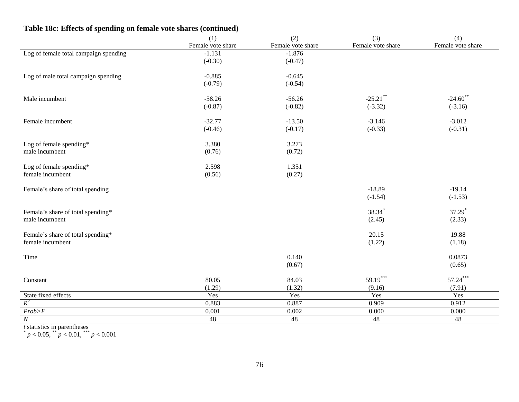|                                       | (1)               | $\overline{(2)}$  | $\overline{(3)}$  | (4)                |
|---------------------------------------|-------------------|-------------------|-------------------|--------------------|
|                                       | Female vote share | Female vote share | Female vote share | Female vote share  |
| Log of female total campaign spending | $-1.131$          | $-1.876$          |                   |                    |
|                                       | $(-0.30)$         | $(-0.47)$         |                   |                    |
| Log of male total campaign spending   | $-0.885$          | $-0.645$          |                   |                    |
|                                       | $(-0.79)$         | $(-0.54)$         |                   |                    |
| Male incumbent                        | $-58.26$          | $-56.26$          | $-25.21$ **       | $-24.60$ **        |
|                                       | $(-0.87)$         | $(-0.82)$         | $(-3.32)$         | $(-3.16)$          |
| Female incumbent                      | $-32.77$          | $-13.50$          | $-3.146$          | $-3.012$           |
|                                       | $(-0.46)$         | $(-0.17)$         | $(-0.33)$         | $(-0.31)$          |
| Log of female spending*               | 3.380             | 3.273             |                   |                    |
| male incumbent                        | (0.76)            | (0.72)            |                   |                    |
| Log of female spending*               | 2.598             | 1.351             |                   |                    |
| female incumbent                      | (0.56)            | (0.27)            |                   |                    |
| Female's share of total spending      |                   |                   | $-18.89$          | $-19.14$           |
|                                       |                   |                   | $(-1.54)$         | $(-1.53)$          |
| Female's share of total spending*     |                   |                   | 38.34             | 37.29 <sup>*</sup> |
| male incumbent                        |                   |                   | (2.45)            | (2.33)             |
| Female's share of total spending*     |                   |                   | 20.15             | 19.88              |
| female incumbent                      |                   |                   | (1.22)            | (1.18)             |
| Time                                  |                   | 0.140             |                   | 0.0873             |
|                                       |                   | (0.67)            |                   | (0.65)             |
| Constant                              | 80.05             | 84.03             | $59.19***$        | $57.24***$         |
|                                       | (1.29)            | (1.32)            | (9.16)            | (7.91)             |
| State fixed effects                   | Yes               | Yes               | Yes               | Yes                |
| $R^2$                                 | 0.883             | 0.887             | 0.909             | 0.912              |
| Prob>F                                | 0.001             | 0.002             | 0.000             | 0.000              |
| $\cal N$                              | 48                | 48                | 48                | $\overline{48}$    |

#### **Table 18c: Effects of spending on female vote shares (continued)**

*t* statistics in parentheses<br>  $p < 0.05$ ,  $^{**} p < 0.01$ ,  $^{***} p < 0.001$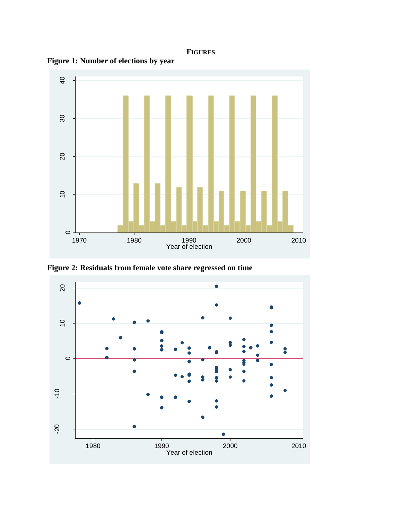### **FIGURES**





**Figure 2: Residuals from female vote share regressed on time**

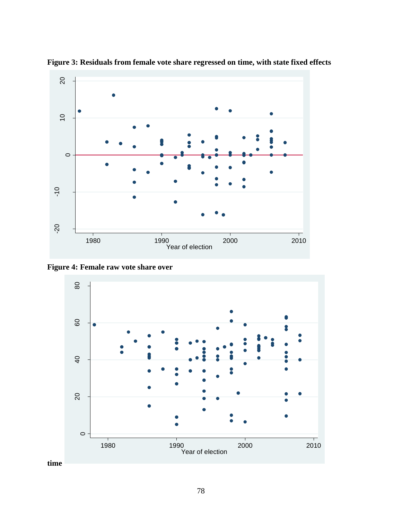

**Figure 3: Residuals from female vote share regressed on time, with state fixed effects**

**Figure 4: Female raw vote share over** 



**time**